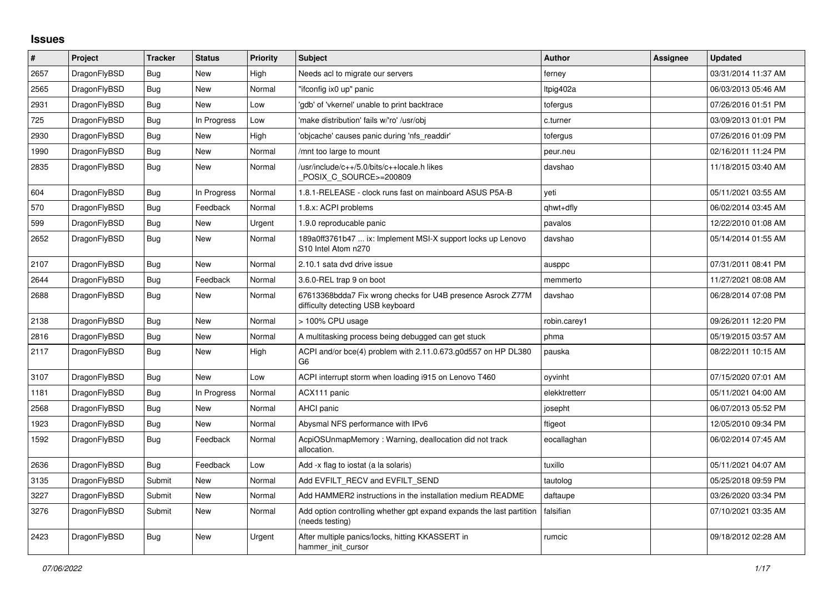## **Issues**

| $\pmb{\#}$ | <b>Project</b> | <b>Tracker</b> | <b>Status</b> | <b>Priority</b> | <b>Subject</b>                                                                                   | <b>Author</b> | <b>Assignee</b> | <b>Updated</b>      |
|------------|----------------|----------------|---------------|-----------------|--------------------------------------------------------------------------------------------------|---------------|-----------------|---------------------|
| 2657       | DragonFlyBSD   | Bug            | <b>New</b>    | High            | Needs acl to migrate our servers                                                                 | ferney        |                 | 03/31/2014 11:37 AM |
| 2565       | DragonFlyBSD   | <b>Bug</b>     | <b>New</b>    | Normal          | "ifconfig ix0 up" panic                                                                          | Itpig402a     |                 | 06/03/2013 05:46 AM |
| 2931       | DragonFlyBSD   | Bug            | New           | Low             | 'gdb' of 'vkernel' unable to print backtrace                                                     | tofergus      |                 | 07/26/2016 01:51 PM |
| 725        | DragonFlyBSD   | Bug            | In Progress   | Low             | 'make distribution' fails w/'ro' /usr/obj                                                        | c.turner      |                 | 03/09/2013 01:01 PM |
| 2930       | DragonFlyBSD   | Bug            | <b>New</b>    | High            | 'objcache' causes panic during 'nfs readdir'                                                     | tofergus      |                 | 07/26/2016 01:09 PM |
| 1990       | DragonFlyBSD   | Bug            | <b>New</b>    | Normal          | mnt too large to mount                                                                           | peur.neu      |                 | 02/16/2011 11:24 PM |
| 2835       | DragonFlyBSD   | <b>Bug</b>     | New           | Normal          | /usr/include/c++/5.0/bits/c++locale.h likes<br>POSIX C SOURCE>=200809                            | davshao       |                 | 11/18/2015 03:40 AM |
| 604        | DragonFlyBSD   | <b>Bug</b>     | In Progress   | Normal          | 1.8.1-RELEASE - clock runs fast on mainboard ASUS P5A-B                                          | veti          |                 | 05/11/2021 03:55 AM |
| 570        | DragonFlyBSD   | <b>Bug</b>     | Feedback      | Normal          | 1.8.x: ACPI problems                                                                             | qhwt+dfly     |                 | 06/02/2014 03:45 AM |
| 599        | DragonFlyBSD   | Bug            | <b>New</b>    | Urgent          | 1.9.0 reproducable panic                                                                         | pavalos       |                 | 12/22/2010 01:08 AM |
| 2652       | DragonFlyBSD   | Bug            | <b>New</b>    | Normal          | 189a0ff3761b47  ix: Implement MSI-X support locks up Lenovo<br>S10 Intel Atom n270               | davshao       |                 | 05/14/2014 01:55 AM |
| 2107       | DragonFlyBSD   | Bug            | <b>New</b>    | Normal          | 2.10.1 sata dvd drive issue                                                                      | ausppc        |                 | 07/31/2011 08:41 PM |
| 2644       | DragonFlyBSD   | Bug            | Feedback      | Normal          | 3.6.0-REL trap 9 on boot                                                                         | memmerto      |                 | 11/27/2021 08:08 AM |
| 2688       | DragonFlyBSD   | <b>Bug</b>     | <b>New</b>    | Normal          | 67613368bdda7 Fix wrong checks for U4B presence Asrock Z77M<br>difficulty detecting USB keyboard | davshao       |                 | 06/28/2014 07:08 PM |
| 2138       | DragonFlyBSD   | <b>Bug</b>     | <b>New</b>    | Normal          | > 100% CPU usage                                                                                 | robin.carey1  |                 | 09/26/2011 12:20 PM |
| 2816       | DragonFlyBSD   | Bug            | <b>New</b>    | Normal          | A multitasking process being debugged can get stuck                                              | phma          |                 | 05/19/2015 03:57 AM |
| 2117       | DragonFlyBSD   | Bug            | New           | High            | ACPI and/or bce(4) problem with 2.11.0.673.g0d557 on HP DL380<br>G <sub>6</sub>                  | pauska        |                 | 08/22/2011 10:15 AM |
| 3107       | DragonFlyBSD   | <b>Bug</b>     | New           | Low             | ACPI interrupt storm when loading i915 on Lenovo T460                                            | oyvinht       |                 | 07/15/2020 07:01 AM |
| 1181       | DragonFlyBSD   | <b>Bug</b>     | In Progress   | Normal          | ACX111 panic                                                                                     | elekktretterr |                 | 05/11/2021 04:00 AM |
| 2568       | DragonFlyBSD   | Bug            | <b>New</b>    | Normal          | AHCI panic                                                                                       | josepht       |                 | 06/07/2013 05:52 PM |
| 1923       | DragonFlyBSD   | Bug            | <b>New</b>    | Normal          | Abysmal NFS performance with IPv6                                                                | ftigeot       |                 | 12/05/2010 09:34 PM |
| 1592       | DragonFlyBSD   | <b>Bug</b>     | Feedback      | Normal          | AcpiOSUnmapMemory: Warning, deallocation did not track<br>allocation.                            | eocallaghan   |                 | 06/02/2014 07:45 AM |
| 2636       | DragonFlyBSD   | Bug            | Feedback      | Low             | Add -x flag to iostat (a la solaris)                                                             | tuxillo       |                 | 05/11/2021 04:07 AM |
| 3135       | DragonFlyBSD   | Submit         | <b>New</b>    | Normal          | Add EVFILT RECV and EVFILT SEND                                                                  | tautolog      |                 | 05/25/2018 09:59 PM |
| 3227       | DragonFlyBSD   | Submit         | <b>New</b>    | Normal          | Add HAMMER2 instructions in the installation medium README                                       | daftaupe      |                 | 03/26/2020 03:34 PM |
| 3276       | DragonFlyBSD   | Submit         | <b>New</b>    | Normal          | Add option controlling whether gpt expand expands the last partition<br>(needs testing)          | falsifian     |                 | 07/10/2021 03:35 AM |
| 2423       | DragonFlyBSD   | Bug            | New           | Urgent          | After multiple panics/locks, hitting KKASSERT in<br>hammer init cursor                           | rumcic        |                 | 09/18/2012 02:28 AM |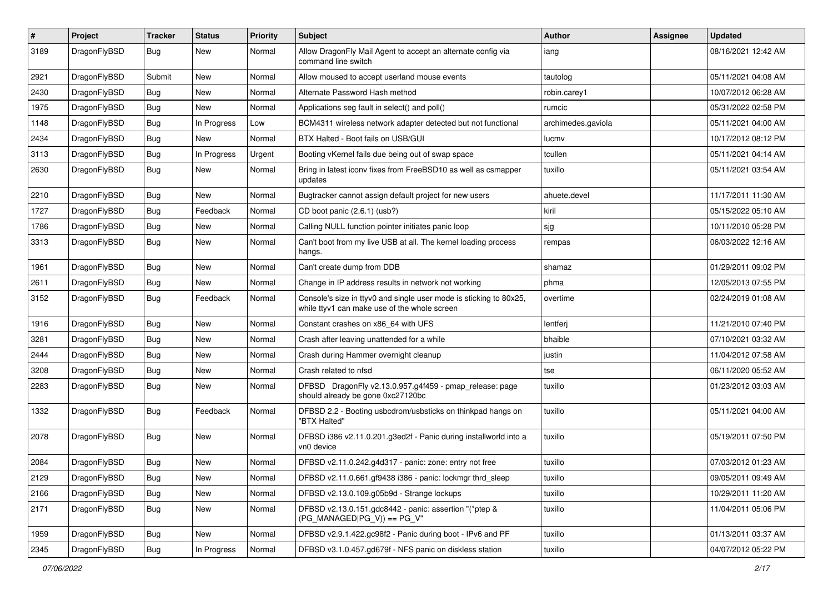| #    | Project      | <b>Tracker</b> | <b>Status</b> | <b>Priority</b> | Subject                                                                                                            | <b>Author</b>      | Assignee | <b>Updated</b>      |
|------|--------------|----------------|---------------|-----------------|--------------------------------------------------------------------------------------------------------------------|--------------------|----------|---------------------|
| 3189 | DragonFlyBSD | Bug            | New           | Normal          | Allow DragonFly Mail Agent to accept an alternate config via<br>command line switch                                | iang               |          | 08/16/2021 12:42 AM |
| 2921 | DragonFlyBSD | Submit         | New           | Normal          | Allow moused to accept userland mouse events                                                                       | tautolog           |          | 05/11/2021 04:08 AM |
| 2430 | DragonFlyBSD | Bug            | New           | Normal          | Alternate Password Hash method                                                                                     | robin.carey1       |          | 10/07/2012 06:28 AM |
| 1975 | DragonFlyBSD | Bug            | <b>New</b>    | Normal          | Applications seg fault in select() and poll()                                                                      | rumcic             |          | 05/31/2022 02:58 PM |
| 1148 | DragonFlyBSD | Bug            | In Progress   | Low             | BCM4311 wireless network adapter detected but not functional                                                       | archimedes.gaviola |          | 05/11/2021 04:00 AM |
| 2434 | DragonFlyBSD | Bug            | New           | Normal          | BTX Halted - Boot fails on USB/GUI                                                                                 | lucmv              |          | 10/17/2012 08:12 PM |
| 3113 | DragonFlyBSD | Bug            | In Progress   | Urgent          | Booting vKernel fails due being out of swap space                                                                  | tcullen            |          | 05/11/2021 04:14 AM |
| 2630 | DragonFlyBSD | Bug            | New           | Normal          | Bring in latest iconv fixes from FreeBSD10 as well as csmapper<br>updates                                          | tuxillo            |          | 05/11/2021 03:54 AM |
| 2210 | DragonFlyBSD | Bug            | <b>New</b>    | Normal          | Bugtracker cannot assign default project for new users                                                             | ahuete.devel       |          | 11/17/2011 11:30 AM |
| 1727 | DragonFlyBSD | Bug            | Feedback      | Normal          | CD boot panic (2.6.1) (usb?)                                                                                       | kiril              |          | 05/15/2022 05:10 AM |
| 1786 | DragonFlyBSD | Bug            | New           | Normal          | Calling NULL function pointer initiates panic loop                                                                 | sjg                |          | 10/11/2010 05:28 PM |
| 3313 | DragonFlyBSD | Bug            | New           | Normal          | Can't boot from my live USB at all. The kernel loading process<br>hangs.                                           | rempas             |          | 06/03/2022 12:16 AM |
| 1961 | DragonFlyBSD | Bug            | New           | Normal          | Can't create dump from DDB                                                                                         | shamaz             |          | 01/29/2011 09:02 PM |
| 2611 | DragonFlyBSD | Bug            | New           | Normal          | Change in IP address results in network not working                                                                | phma               |          | 12/05/2013 07:55 PM |
| 3152 | DragonFlyBSD | Bug            | Feedback      | Normal          | Console's size in ttyv0 and single user mode is sticking to 80x25,<br>while ttyv1 can make use of the whole screen | overtime           |          | 02/24/2019 01:08 AM |
| 1916 | DragonFlyBSD | Bug            | New           | Normal          | Constant crashes on x86_64 with UFS                                                                                | lentferj           |          | 11/21/2010 07:40 PM |
| 3281 | DragonFlyBSD | Bug            | New           | Normal          | Crash after leaving unattended for a while                                                                         | bhaible            |          | 07/10/2021 03:32 AM |
| 2444 | DragonFlyBSD | Bug            | New           | Normal          | Crash during Hammer overnight cleanup                                                                              | justin             |          | 11/04/2012 07:58 AM |
| 3208 | DragonFlyBSD | Bug            | <b>New</b>    | Normal          | Crash related to nfsd                                                                                              | tse                |          | 06/11/2020 05:52 AM |
| 2283 | DragonFlyBSD | Bug            | <b>New</b>    | Normal          | DFBSD DragonFly v2.13.0.957.g4f459 - pmap_release: page<br>should already be gone 0xc27120bc                       | tuxillo            |          | 01/23/2012 03:03 AM |
| 1332 | DragonFlyBSD | <b>Bug</b>     | Feedback      | Normal          | DFBSD 2.2 - Booting usbcdrom/usbsticks on thinkpad hangs on<br>"BTX Halted"                                        | tuxillo            |          | 05/11/2021 04:00 AM |
| 2078 | DragonFlyBSD | Bug            | New           | Normal          | DFBSD i386 v2.11.0.201.g3ed2f - Panic during installworld into a<br>vn0 device                                     | tuxillo            |          | 05/19/2011 07:50 PM |
| 2084 | DragonFlyBSD | Bug            | New           | Normal          | DFBSD v2.11.0.242.g4d317 - panic: zone: entry not free                                                             | tuxillo            |          | 07/03/2012 01:23 AM |
| 2129 | DragonFlyBSD | <b>Bug</b>     | New           | Normal          | DFBSD v2.11.0.661.gf9438 i386 - panic: lockmgr thrd_sleep                                                          | tuxillo            |          | 09/05/2011 09:49 AM |
| 2166 | DragonFlyBSD | Bug            | <b>New</b>    | Normal          | DFBSD v2.13.0.109.g05b9d - Strange lockups                                                                         | tuxillo            |          | 10/29/2011 11:20 AM |
| 2171 | DragonFlyBSD | Bug            | New           | Normal          | DFBSD v2.13.0.151.gdc8442 - panic: assertion "(*ptep &<br>$(PG_MANAGED PG_V)$ == PG_V"                             | tuxillo            |          | 11/04/2011 05:06 PM |
| 1959 | DragonFlyBSD | Bug            | <b>New</b>    | Normal          | DFBSD v2.9.1.422.gc98f2 - Panic during boot - IPv6 and PF                                                          | tuxillo            |          | 01/13/2011 03:37 AM |
| 2345 | DragonFlyBSD | <b>Bug</b>     | In Progress   | Normal          | DFBSD v3.1.0.457.gd679f - NFS panic on diskless station                                                            | tuxillo            |          | 04/07/2012 05:22 PM |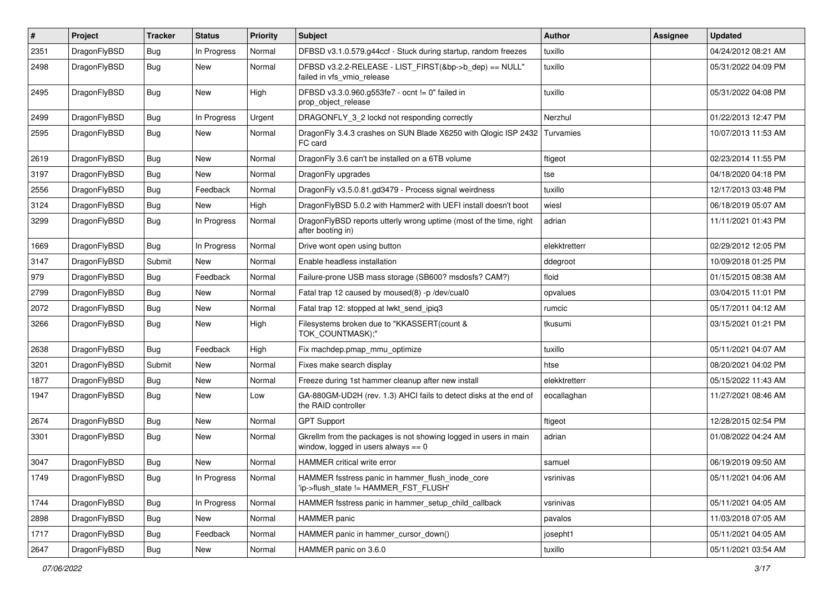| #    | Project      | <b>Tracker</b> | <b>Status</b> | <b>Priority</b> | <b>Subject</b>                                                                                            | Author        | Assignee | <b>Updated</b>      |
|------|--------------|----------------|---------------|-----------------|-----------------------------------------------------------------------------------------------------------|---------------|----------|---------------------|
| 2351 | DragonFlyBSD | Bug            | In Progress   | Normal          | DFBSD v3.1.0.579.g44ccf - Stuck during startup, random freezes                                            | tuxillo       |          | 04/24/2012 08:21 AM |
| 2498 | DragonFlyBSD | <b>Bug</b>     | New           | Normal          | DFBSD v3.2.2-RELEASE - LIST_FIRST(&bp->b_dep) == NULL"<br>failed in vfs vmio release                      | tuxillo       |          | 05/31/2022 04:09 PM |
| 2495 | DragonFlyBSD | Bug            | <b>New</b>    | High            | DFBSD v3.3.0.960.g553fe7 - ocnt != 0" failed in<br>prop object release                                    | tuxillo       |          | 05/31/2022 04:08 PM |
| 2499 | DragonFlyBSD | Bug            | In Progress   | Urgent          | DRAGONFLY_3_2 lockd not responding correctly                                                              | Nerzhul       |          | 01/22/2013 12:47 PM |
| 2595 | DragonFlyBSD | Bug            | New           | Normal          | DragonFly 3.4.3 crashes on SUN Blade X6250 with Qlogic ISP 2432 Turvamies<br>FC card                      |               |          | 10/07/2013 11:53 AM |
| 2619 | DragonFlyBSD | Bug            | <b>New</b>    | Normal          | DragonFly 3.6 can't be installed on a 6TB volume                                                          | ftigeot       |          | 02/23/2014 11:55 PM |
| 3197 | DragonFlyBSD | Bug            | <b>New</b>    | Normal          | DragonFly upgrades                                                                                        | tse           |          | 04/18/2020 04:18 PM |
| 2556 | DragonFlyBSD | <b>Bug</b>     | Feedback      | Normal          | DragonFly v3.5.0.81.gd3479 - Process signal weirdness                                                     | tuxillo       |          | 12/17/2013 03:48 PM |
| 3124 | DragonFlyBSD | <b>Bug</b>     | New           | High            | DragonFlyBSD 5.0.2 with Hammer2 with UEFI install doesn't boot                                            | wiesl         |          | 06/18/2019 05:07 AM |
| 3299 | DragonFlyBSD | Bug            | In Progress   | Normal          | DragonFlyBSD reports utterly wrong uptime (most of the time, right<br>after booting in)                   | adrian        |          | 11/11/2021 01:43 PM |
| 1669 | DragonFlyBSD | Bug            | In Progress   | Normal          | Drive wont open using button                                                                              | elekktretterr |          | 02/29/2012 12:05 PM |
| 3147 | DragonFlyBSD | Submit         | New           | Normal          | Enable headless installation                                                                              | ddegroot      |          | 10/09/2018 01:25 PM |
| 979  | DragonFlyBSD | Bug            | Feedback      | Normal          | Failure-prone USB mass storage (SB600? msdosfs? CAM?)                                                     | floid         |          | 01/15/2015 08:38 AM |
| 2799 | DragonFlyBSD | Bug            | <b>New</b>    | Normal          | Fatal trap 12 caused by moused(8) -p /dev/cual0                                                           | opvalues      |          | 03/04/2015 11:01 PM |
| 2072 | DragonFlyBSD | <b>Bug</b>     | <b>New</b>    | Normal          | Fatal trap 12: stopped at lwkt_send_ipiq3                                                                 | rumcic        |          | 05/17/2011 04:12 AM |
| 3266 | DragonFlyBSD | <b>Bug</b>     | New           | High            | Filesystems broken due to "KKASSERT(count &<br>TOK_COUNTMASK);"                                           | tkusumi       |          | 03/15/2021 01:21 PM |
| 2638 | DragonFlyBSD | Bug            | Feedback      | High            | Fix machdep.pmap_mmu_optimize                                                                             | tuxillo       |          | 05/11/2021 04:07 AM |
| 3201 | DragonFlyBSD | Submit         | <b>New</b>    | Normal          | Fixes make search display                                                                                 | htse          |          | 08/20/2021 04:02 PM |
| 1877 | DragonFlyBSD | Bug            | New           | Normal          | Freeze during 1st hammer cleanup after new install                                                        | elekktretterr |          | 05/15/2022 11:43 AM |
| 1947 | DragonFlyBSD | Bug            | New           | Low             | GA-880GM-UD2H (rev. 1.3) AHCI fails to detect disks at the end of<br>the RAID controller                  | eocallaghan   |          | 11/27/2021 08:46 AM |
| 2674 | DragonFlyBSD | Bug            | <b>New</b>    | Normal          | <b>GPT Support</b>                                                                                        | ftigeot       |          | 12/28/2015 02:54 PM |
| 3301 | DragonFlyBSD | <b>Bug</b>     | New           | Normal          | Gkrellm from the packages is not showing logged in users in main<br>window, logged in users always $== 0$ | adrian        |          | 01/08/2022 04:24 AM |
| 3047 | DragonFlyBSD | Bug            | <b>New</b>    | Normal          | HAMMER critical write error                                                                               | samuel        |          | 06/19/2019 09:50 AM |
| 1749 | DragonFlyBSD | Bug            | In Progress   | Normal          | HAMMER fsstress panic in hammer_flush_inode_core<br>'ip->flush_state != HAMMER_FST_FLUSH'                 | vsrinivas     |          | 05/11/2021 04:06 AM |
| 1744 | DragonFlyBSD | <b>Bug</b>     | In Progress   | Normal          | HAMMER fsstress panic in hammer_setup_child_callback                                                      | vsrinivas     |          | 05/11/2021 04:05 AM |
| 2898 | DragonFlyBSD | Bug            | New           | Normal          | HAMMER panic                                                                                              | pavalos       |          | 11/03/2018 07:05 AM |
| 1717 | DragonFlyBSD | Bug            | Feedback      | Normal          | HAMMER panic in hammer_cursor_down()                                                                      | josepht1      |          | 05/11/2021 04:05 AM |
| 2647 | DragonFlyBSD | Bug            | New           | Normal          | HAMMER panic on 3.6.0                                                                                     | tuxillo       |          | 05/11/2021 03:54 AM |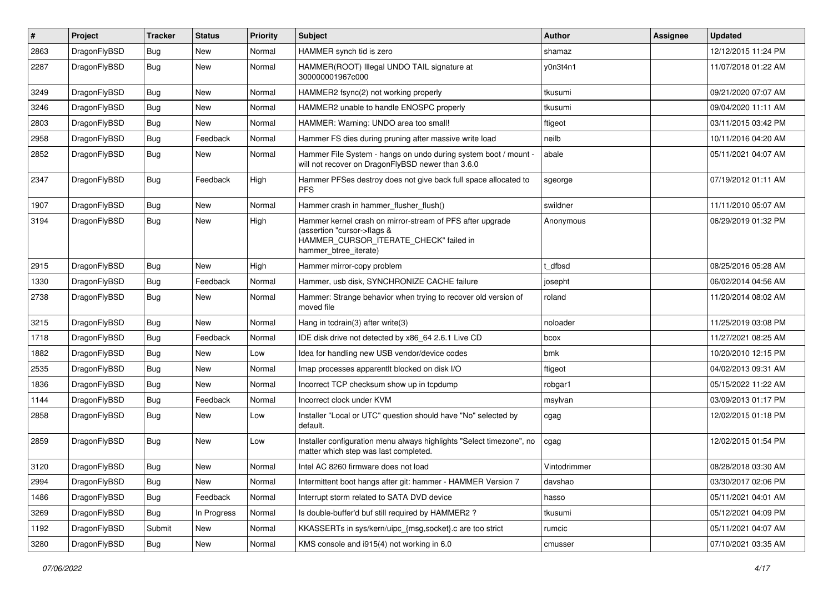| $\pmb{\#}$ | Project      | <b>Tracker</b> | <b>Status</b> | <b>Priority</b> | Subject                                                                                                                                                     | Author       | Assignee | <b>Updated</b>      |
|------------|--------------|----------------|---------------|-----------------|-------------------------------------------------------------------------------------------------------------------------------------------------------------|--------------|----------|---------------------|
| 2863       | DragonFlyBSD | Bug            | <b>New</b>    | Normal          | HAMMER synch tid is zero                                                                                                                                    | shamaz       |          | 12/12/2015 11:24 PM |
| 2287       | DragonFlyBSD | <b>Bug</b>     | New           | Normal          | HAMMER(ROOT) Illegal UNDO TAIL signature at<br>300000001967c000                                                                                             | y0n3t4n1     |          | 11/07/2018 01:22 AM |
| 3249       | DragonFlyBSD | Bug            | <b>New</b>    | Normal          | HAMMER2 fsync(2) not working properly                                                                                                                       | tkusumi      |          | 09/21/2020 07:07 AM |
| 3246       | DragonFlyBSD | Bug            | <b>New</b>    | Normal          | HAMMER2 unable to handle ENOSPC properly                                                                                                                    | tkusumi      |          | 09/04/2020 11:11 AM |
| 2803       | DragonFlyBSD | <b>Bug</b>     | New           | Normal          | HAMMER: Warning: UNDO area too small!                                                                                                                       | ftigeot      |          | 03/11/2015 03:42 PM |
| 2958       | DragonFlyBSD | <b>Bug</b>     | Feedback      | Normal          | Hammer FS dies during pruning after massive write load                                                                                                      | neilb        |          | 10/11/2016 04:20 AM |
| 2852       | DragonFlyBSD | Bug            | New           | Normal          | Hammer File System - hangs on undo during system boot / mount -<br>will not recover on DragonFlyBSD newer than 3.6.0                                        | abale        |          | 05/11/2021 04:07 AM |
| 2347       | DragonFlyBSD | <b>Bug</b>     | Feedback      | High            | Hammer PFSes destroy does not give back full space allocated to<br>PFS.                                                                                     | sgeorge      |          | 07/19/2012 01:11 AM |
| 1907       | DragonFlyBSD | Bug            | <b>New</b>    | Normal          | Hammer crash in hammer_flusher_flush()                                                                                                                      | swildner     |          | 11/11/2010 05:07 AM |
| 3194       | DragonFlyBSD | Bug            | New           | High            | Hammer kernel crash on mirror-stream of PFS after upgrade<br>(assertion "cursor->flags &<br>HAMMER_CURSOR_ITERATE_CHECK" failed in<br>hammer_btree_iterate) | Anonymous    |          | 06/29/2019 01:32 PM |
| 2915       | DragonFlyBSD | <b>Bug</b>     | New           | High            | Hammer mirror-copy problem                                                                                                                                  | t dfbsd      |          | 08/25/2016 05:28 AM |
| 1330       | DragonFlyBSD | Bug            | Feedback      | Normal          | Hammer, usb disk, SYNCHRONIZE CACHE failure                                                                                                                 | josepht      |          | 06/02/2014 04:56 AM |
| 2738       | DragonFlyBSD | Bug            | New           | Normal          | Hammer: Strange behavior when trying to recover old version of<br>moved file                                                                                | roland       |          | 11/20/2014 08:02 AM |
| 3215       | DragonFlyBSD | <b>Bug</b>     | New           | Normal          | Hang in tcdrain(3) after write(3)                                                                                                                           | noloader     |          | 11/25/2019 03:08 PM |
| 1718       | DragonFlyBSD | <b>Bug</b>     | Feedback      | Normal          | IDE disk drive not detected by x86_64 2.6.1 Live CD                                                                                                         | bcox         |          | 11/27/2021 08:25 AM |
| 1882       | DragonFlyBSD | Bug            | New           | Low             | Idea for handling new USB vendor/device codes                                                                                                               | bmk          |          | 10/20/2010 12:15 PM |
| 2535       | DragonFlyBSD | Bug            | New           | Normal          | Imap processes apparentlt blocked on disk I/O                                                                                                               | ftigeot      |          | 04/02/2013 09:31 AM |
| 1836       | DragonFlyBSD | <b>Bug</b>     | New           | Normal          | Incorrect TCP checksum show up in tcpdump                                                                                                                   | robgar1      |          | 05/15/2022 11:22 AM |
| 1144       | DragonFlyBSD | <b>Bug</b>     | Feedback      | Normal          | Incorrect clock under KVM                                                                                                                                   | msylvan      |          | 03/09/2013 01:17 PM |
| 2858       | DragonFlyBSD | Bug            | New           | Low             | Installer "Local or UTC" question should have "No" selected by<br>default.                                                                                  | cgag         |          | 12/02/2015 01:18 PM |
| 2859       | DragonFlyBSD | Bug            | New           | Low             | Installer configuration menu always highlights "Select timezone", no<br>matter which step was last completed.                                               | cgag         |          | 12/02/2015 01:54 PM |
| 3120       | DragonFlyBSD | Bug            | <b>New</b>    | Normal          | Intel AC 8260 firmware does not load                                                                                                                        | Vintodrimmer |          | 08/28/2018 03:30 AM |
| 2994       | DragonFlyBSD | <b>Bug</b>     | New           | Normal          | Intermittent boot hangs after git: hammer - HAMMER Version 7                                                                                                | davshao      |          | 03/30/2017 02:06 PM |
| 1486       | DragonFlyBSD | <b>Bug</b>     | Feedback      | Normal          | Interrupt storm related to SATA DVD device                                                                                                                  | hasso        |          | 05/11/2021 04:01 AM |
| 3269       | DragonFlyBSD | Bug            | In Progress   | Normal          | Is double-buffer'd buf still required by HAMMER2?                                                                                                           | tkusumi      |          | 05/12/2021 04:09 PM |
| 1192       | DragonFlyBSD | Submit         | New           | Normal          | KKASSERTs in sys/kern/uipc_{msg,socket}.c are too strict                                                                                                    | rumcic       |          | 05/11/2021 04:07 AM |
| 3280       | DragonFlyBSD | <b>Bug</b>     | New           | Normal          | KMS console and i915(4) not working in 6.0                                                                                                                  | cmusser      |          | 07/10/2021 03:35 AM |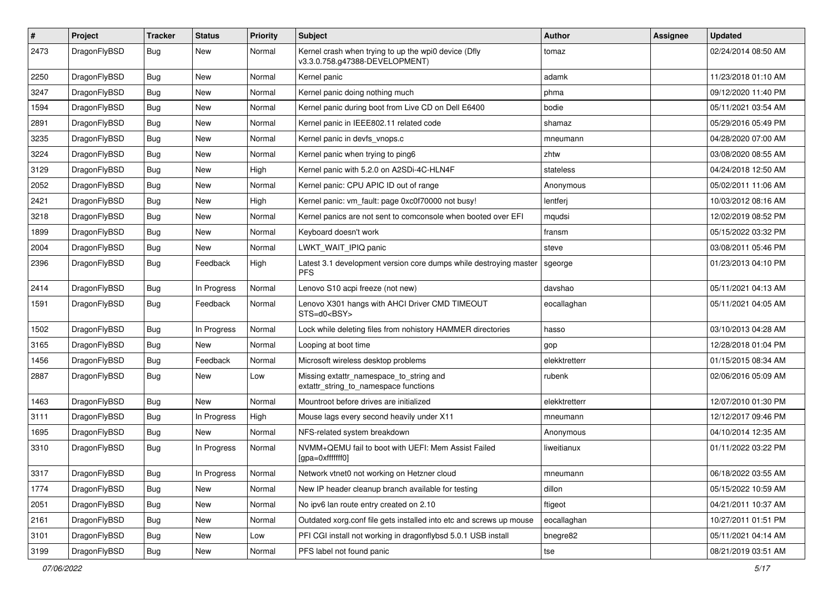| $\sharp$ | Project      | <b>Tracker</b> | <b>Status</b> | <b>Priority</b> | Subject                                                                                | <b>Author</b> | Assignee | <b>Updated</b>      |
|----------|--------------|----------------|---------------|-----------------|----------------------------------------------------------------------------------------|---------------|----------|---------------------|
| 2473     | DragonFlyBSD | Bug            | New           | Normal          | Kernel crash when trying to up the wpi0 device (Dfly<br>v3.3.0.758.g47388-DEVELOPMENT) | tomaz         |          | 02/24/2014 08:50 AM |
| 2250     | DragonFlyBSD | Bug            | New           | Normal          | Kernel panic                                                                           | adamk         |          | 11/23/2018 01:10 AM |
| 3247     | DragonFlyBSD | Bug            | New           | Normal          | Kernel panic doing nothing much                                                        | phma          |          | 09/12/2020 11:40 PM |
| 1594     | DragonFlyBSD | Bug            | New           | Normal          | Kernel panic during boot from Live CD on Dell E6400                                    | bodie         |          | 05/11/2021 03:54 AM |
| 2891     | DragonFlyBSD | Bug            | New           | Normal          | Kernel panic in IEEE802.11 related code                                                | shamaz        |          | 05/29/2016 05:49 PM |
| 3235     | DragonFlyBSD | Bug            | New           | Normal          | Kernel panic in devfs_vnops.c                                                          | mneumann      |          | 04/28/2020 07:00 AM |
| 3224     | DragonFlyBSD | Bug            | <b>New</b>    | Normal          | Kernel panic when trying to ping6                                                      | zhtw          |          | 03/08/2020 08:55 AM |
| 3129     | DragonFlyBSD | Bug            | New           | High            | Kernel panic with 5.2.0 on A2SDi-4C-HLN4F                                              | stateless     |          | 04/24/2018 12:50 AM |
| 2052     | DragonFlyBSD | Bug            | <b>New</b>    | Normal          | Kernel panic: CPU APIC ID out of range                                                 | Anonymous     |          | 05/02/2011 11:06 AM |
| 2421     | DragonFlyBSD | Bug            | New           | High            | Kernel panic: vm fault: page 0xc0f70000 not busy!                                      | lentferj      |          | 10/03/2012 08:16 AM |
| 3218     | DragonFlyBSD | Bug            | New           | Normal          | Kernel panics are not sent to comconsole when booted over EFI                          | mqudsi        |          | 12/02/2019 08:52 PM |
| 1899     | DragonFlyBSD | Bug            | New           | Normal          | Keyboard doesn't work                                                                  | fransm        |          | 05/15/2022 03:32 PM |
| 2004     | DragonFlyBSD | Bug            | New           | Normal          | LWKT_WAIT_IPIQ panic                                                                   | steve         |          | 03/08/2011 05:46 PM |
| 2396     | DragonFlyBSD | Bug            | Feedback      | High            | Latest 3.1 development version core dumps while destroying master<br><b>PFS</b>        | sgeorge       |          | 01/23/2013 04:10 PM |
| 2414     | DragonFlyBSD | Bug            | In Progress   | Normal          | Lenovo S10 acpi freeze (not new)                                                       | davshao       |          | 05/11/2021 04:13 AM |
| 1591     | DragonFlyBSD | Bug            | Feedback      | Normal          | Lenovo X301 hangs with AHCI Driver CMD TIMEOUT<br>STS=d0 <bsy></bsy>                   | eocallaghan   |          | 05/11/2021 04:05 AM |
| 1502     | DragonFlyBSD | Bug            | In Progress   | Normal          | Lock while deleting files from nohistory HAMMER directories                            | hasso         |          | 03/10/2013 04:28 AM |
| 3165     | DragonFlyBSD | <b>Bug</b>     | New           | Normal          | Looping at boot time                                                                   | gop           |          | 12/28/2018 01:04 PM |
| 1456     | DragonFlyBSD | <b>Bug</b>     | Feedback      | Normal          | Microsoft wireless desktop problems                                                    | elekktretterr |          | 01/15/2015 08:34 AM |
| 2887     | DragonFlyBSD | Bug            | New           | Low             | Missing extattr_namespace_to_string and<br>extattr string to namespace functions       | rubenk        |          | 02/06/2016 05:09 AM |
| 1463     | DragonFlyBSD | Bug            | New           | Normal          | Mountroot before drives are initialized                                                | elekktretterr |          | 12/07/2010 01:30 PM |
| 3111     | DragonFlyBSD | Bug            | In Progress   | High            | Mouse lags every second heavily under X11                                              | mneumann      |          | 12/12/2017 09:46 PM |
| 1695     | DragonFlyBSD | <b>Bug</b>     | New           | Normal          | NFS-related system breakdown                                                           | Anonymous     |          | 04/10/2014 12:35 AM |
| 3310     | DragonFlyBSD | <b>Bug</b>     | In Progress   | Normal          | NVMM+QEMU fail to boot with UEFI: Mem Assist Failed<br>[gpa=0xfffffff0]                | liweitianux   |          | 01/11/2022 03:22 PM |
| 3317     | DragonFlyBSD | <b>Bug</b>     | In Progress   | Normal          | Network vtnet0 not working on Hetzner cloud                                            | mneumann      |          | 06/18/2022 03:55 AM |
| 1774     | DragonFlyBSD | <b>Bug</b>     | New           | Normal          | New IP header cleanup branch available for testing                                     | dillon        |          | 05/15/2022 10:59 AM |
| 2051     | DragonFlyBSD | <b>Bug</b>     | New           | Normal          | No ipv6 lan route entry created on 2.10                                                | ftigeot       |          | 04/21/2011 10:37 AM |
| 2161     | DragonFlyBSD | <b>Bug</b>     | New           | Normal          | Outdated xorg.conf file gets installed into etc and screws up mouse                    | eocallaghan   |          | 10/27/2011 01:51 PM |
| 3101     | DragonFlyBSD | <b>Bug</b>     | <b>New</b>    | Low             | PFI CGI install not working in dragonflybsd 5.0.1 USB install                          | bnegre82      |          | 05/11/2021 04:14 AM |
| 3199     | DragonFlyBSD | <b>Bug</b>     | New           | Normal          | PFS label not found panic                                                              | tse           |          | 08/21/2019 03:51 AM |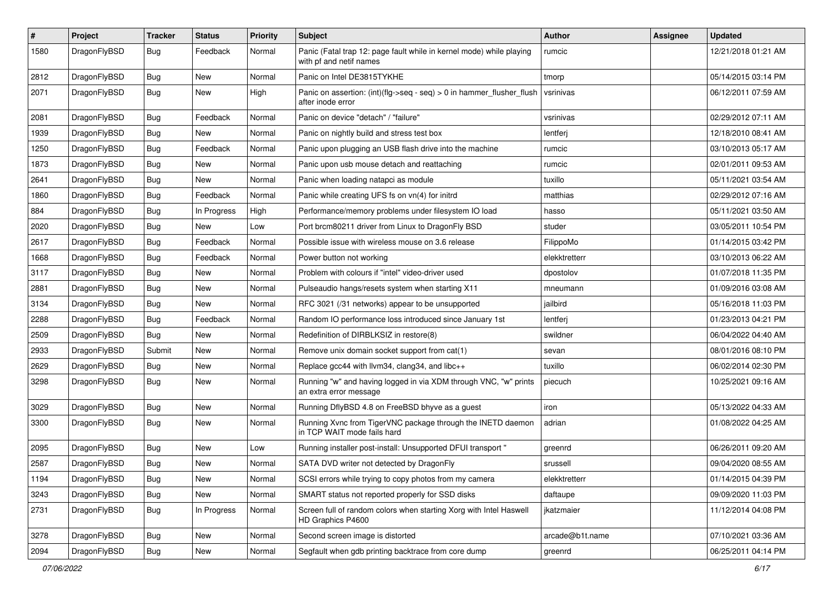| $\pmb{\#}$ | Project      | <b>Tracker</b> | <b>Status</b> | <b>Priority</b> | <b>Subject</b>                                                                                  | Author          | Assignee | <b>Updated</b>      |
|------------|--------------|----------------|---------------|-----------------|-------------------------------------------------------------------------------------------------|-----------------|----------|---------------------|
| 1580       | DragonFlyBSD | Bug            | Feedback      | Normal          | Panic (Fatal trap 12: page fault while in kernel mode) while playing<br>with pf and netif names | rumcic          |          | 12/21/2018 01:21 AM |
| 2812       | DragonFlyBSD | <b>Bug</b>     | <b>New</b>    | Normal          | Panic on Intel DE3815TYKHE                                                                      | tmorp           |          | 05/14/2015 03:14 PM |
| 2071       | DragonFlyBSD | Bug            | New           | High            | Panic on assertion: (int)(flg->seq - seq) > 0 in hammer_flusher_flush<br>after inode error      | vsrinivas       |          | 06/12/2011 07:59 AM |
| 2081       | DragonFlyBSD | <b>Bug</b>     | Feedback      | Normal          | Panic on device "detach" / "failure"                                                            | vsrinivas       |          | 02/29/2012 07:11 AM |
| 1939       | DragonFlyBSD | <b>Bug</b>     | New           | Normal          | Panic on nightly build and stress test box                                                      | lentferj        |          | 12/18/2010 08:41 AM |
| 1250       | DragonFlyBSD | <b>Bug</b>     | Feedback      | Normal          | Panic upon plugging an USB flash drive into the machine                                         | rumcic          |          | 03/10/2013 05:17 AM |
| 1873       | DragonFlyBSD | <b>Bug</b>     | New           | Normal          | Panic upon usb mouse detach and reattaching                                                     | rumcic          |          | 02/01/2011 09:53 AM |
| 2641       | DragonFlyBSD | Bug            | New           | Normal          | Panic when loading natapci as module                                                            | tuxillo         |          | 05/11/2021 03:54 AM |
| 1860       | DragonFlyBSD | <b>Bug</b>     | Feedback      | Normal          | Panic while creating UFS fs on vn(4) for initrd                                                 | matthias        |          | 02/29/2012 07:16 AM |
| 884        | DragonFlyBSD | Bug            | In Progress   | High            | Performance/memory problems under filesystem IO load                                            | hasso           |          | 05/11/2021 03:50 AM |
| 2020       | DragonFlyBSD | <b>Bug</b>     | New           | Low             | Port brcm80211 driver from Linux to DragonFly BSD                                               | studer          |          | 03/05/2011 10:54 PM |
| 2617       | DragonFlyBSD | <b>Bug</b>     | Feedback      | Normal          | Possible issue with wireless mouse on 3.6 release                                               | FilippoMo       |          | 01/14/2015 03:42 PM |
| 1668       | DragonFlyBSD | Bug            | Feedback      | Normal          | Power button not working                                                                        | elekktretterr   |          | 03/10/2013 06:22 AM |
| 3117       | DragonFlyBSD | <b>Bug</b>     | New           | Normal          | Problem with colours if "intel" video-driver used                                               | dpostolov       |          | 01/07/2018 11:35 PM |
| 2881       | DragonFlyBSD | <b>Bug</b>     | <b>New</b>    | Normal          | Pulseaudio hangs/resets system when starting X11                                                | mneumann        |          | 01/09/2016 03:08 AM |
| 3134       | DragonFlyBSD | Bug            | <b>New</b>    | Normal          | RFC 3021 (/31 networks) appear to be unsupported                                                | jailbird        |          | 05/16/2018 11:03 PM |
| 2288       | DragonFlyBSD | <b>Bug</b>     | Feedback      | Normal          | Random IO performance loss introduced since January 1st                                         | lentferj        |          | 01/23/2013 04:21 PM |
| 2509       | DragonFlyBSD | <b>Bug</b>     | New           | Normal          | Redefinition of DIRBLKSIZ in restore(8)                                                         | swildner        |          | 06/04/2022 04:40 AM |
| 2933       | DragonFlyBSD | Submit         | New           | Normal          | Remove unix domain socket support from cat(1)                                                   | sevan           |          | 08/01/2016 08:10 PM |
| 2629       | DragonFlyBSD | <b>Bug</b>     | New           | Normal          | Replace gcc44 with llvm34, clang34, and libc++                                                  | tuxillo         |          | 06/02/2014 02:30 PM |
| 3298       | DragonFlyBSD | Bug            | New           | Normal          | Running "w" and having logged in via XDM through VNC, "w" prints<br>an extra error message      | piecuch         |          | 10/25/2021 09:16 AM |
| 3029       | DragonFlyBSD | Bug            | <b>New</b>    | Normal          | Running DflyBSD 4.8 on FreeBSD bhyve as a guest                                                 | iron            |          | 05/13/2022 04:33 AM |
| 3300       | DragonFlyBSD | Bug            | <b>New</b>    | Normal          | Running Xvnc from TigerVNC package through the INETD daemon<br>in TCP WAIT mode fails hard      | adrian          |          | 01/08/2022 04:25 AM |
| 2095       | DragonFlyBSD | <b>Bug</b>     | New           | Low             | Running installer post-install: Unsupported DFUI transport "                                    | greenrd         |          | 06/26/2011 09:20 AM |
| 2587       | DragonFlyBSD | <b>Bug</b>     | New           | Normal          | SATA DVD writer not detected by DragonFly                                                       | srussell        |          | 09/04/2020 08:55 AM |
| 1194       | DragonFlyBSD | <b>Bug</b>     | New           | Normal          | SCSI errors while trying to copy photos from my camera                                          | elekktretterr   |          | 01/14/2015 04:39 PM |
| 3243       | DragonFlyBSD | <b>Bug</b>     | New           | Normal          | SMART status not reported properly for SSD disks                                                | daftaupe        |          | 09/09/2020 11:03 PM |
| 2731       | DragonFlyBSD | <b>Bug</b>     | In Progress   | Normal          | Screen full of random colors when starting Xorg with Intel Haswell<br>HD Graphics P4600         | jkatzmaier      |          | 11/12/2014 04:08 PM |
| 3278       | DragonFlyBSD | Bug            | New           | Normal          | Second screen image is distorted                                                                | arcade@b1t.name |          | 07/10/2021 03:36 AM |
| 2094       | DragonFlyBSD | <b>Bug</b>     | New           | Normal          | Segfault when gdb printing backtrace from core dump                                             | greenrd         |          | 06/25/2011 04:14 PM |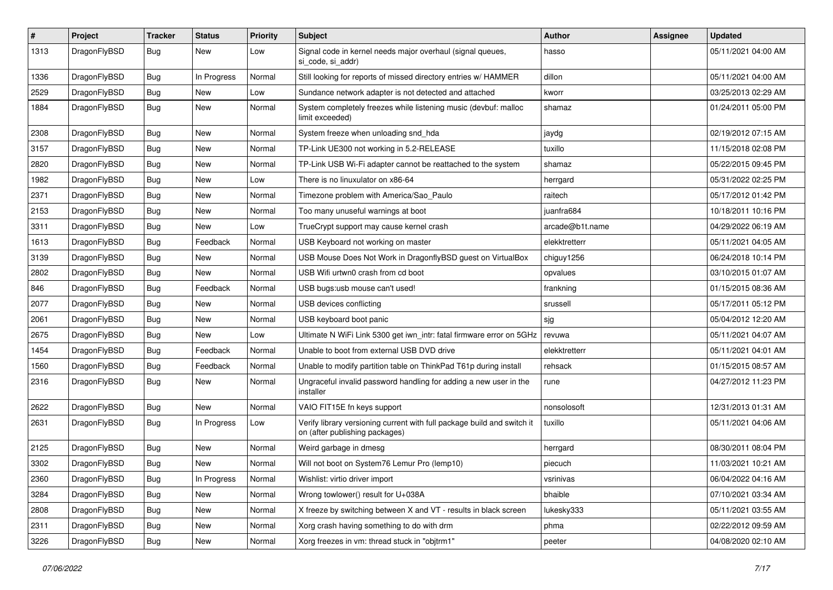| $\sharp$ | Project      | <b>Tracker</b> | <b>Status</b> | <b>Priority</b> | Subject                                                                                                   | <b>Author</b>   | Assignee | <b>Updated</b>      |
|----------|--------------|----------------|---------------|-----------------|-----------------------------------------------------------------------------------------------------------|-----------------|----------|---------------------|
| 1313     | DragonFlyBSD | Bug            | New           | Low             | Signal code in kernel needs major overhaul (signal queues,<br>si code, si addr)                           | hasso           |          | 05/11/2021 04:00 AM |
| 1336     | DragonFlyBSD | <b>Bug</b>     | In Progress   | Normal          | Still looking for reports of missed directory entries w/ HAMMER                                           | dillon          |          | 05/11/2021 04:00 AM |
| 2529     | DragonFlyBSD | <b>Bug</b>     | <b>New</b>    | Low             | Sundance network adapter is not detected and attached                                                     | kworr           |          | 03/25/2013 02:29 AM |
| 1884     | DragonFlyBSD | Bug            | New           | Normal          | System completely freezes while listening music (devbuf: malloc<br>limit exceeded)                        | shamaz          |          | 01/24/2011 05:00 PM |
| 2308     | DragonFlyBSD | Bug            | <b>New</b>    | Normal          | System freeze when unloading snd hda                                                                      | jaydg           |          | 02/19/2012 07:15 AM |
| 3157     | DragonFlyBSD | <b>Bug</b>     | New           | Normal          | TP-Link UE300 not working in 5.2-RELEASE                                                                  | tuxillo         |          | 11/15/2018 02:08 PM |
| 2820     | DragonFlyBSD | <b>Bug</b>     | New           | Normal          | TP-Link USB Wi-Fi adapter cannot be reattached to the system                                              | shamaz          |          | 05/22/2015 09:45 PM |
| 1982     | DragonFlyBSD | Bug            | New           | Low             | There is no linuxulator on x86-64                                                                         | herrgard        |          | 05/31/2022 02:25 PM |
| 2371     | DragonFlyBSD | <b>Bug</b>     | New           | Normal          | Timezone problem with America/Sao Paulo                                                                   | raitech         |          | 05/17/2012 01:42 PM |
| 2153     | DragonFlyBSD | <b>Bug</b>     | <b>New</b>    | Normal          | Too many unuseful warnings at boot                                                                        | juanfra684      |          | 10/18/2011 10:16 PM |
| 3311     | DragonFlyBSD | <b>Bug</b>     | New           | Low             | TrueCrypt support may cause kernel crash                                                                  | arcade@b1t.name |          | 04/29/2022 06:19 AM |
| 1613     | DragonFlyBSD | <b>Bug</b>     | Feedback      | Normal          | USB Keyboard not working on master                                                                        | elekktretterr   |          | 05/11/2021 04:05 AM |
| 3139     | DragonFlyBSD | Bug            | New           | Normal          | USB Mouse Does Not Work in DragonflyBSD guest on VirtualBox                                               | chiguy1256      |          | 06/24/2018 10:14 PM |
| 2802     | DragonFlyBSD | <b>Bug</b>     | New           | Normal          | USB Wifi urtwn0 crash from cd boot                                                                        | opvalues        |          | 03/10/2015 01:07 AM |
| 846      | DragonFlyBSD | <b>Bug</b>     | Feedback      | Normal          | USB bugs:usb mouse can't used!                                                                            | frankning       |          | 01/15/2015 08:36 AM |
| 2077     | DragonFlyBSD | Bug            | <b>New</b>    | Normal          | USB devices conflicting                                                                                   | srussell        |          | 05/17/2011 05:12 PM |
| 2061     | DragonFlyBSD | <b>Bug</b>     | <b>New</b>    | Normal          | USB keyboard boot panic                                                                                   | sjg             |          | 05/04/2012 12:20 AM |
| 2675     | DragonFlyBSD | Bug            | <b>New</b>    | Low             | Ultimate N WiFi Link 5300 get iwn_intr: fatal firmware error on 5GHz                                      | revuwa          |          | 05/11/2021 04:07 AM |
| 1454     | DragonFlyBSD | <b>Bug</b>     | Feedback      | Normal          | Unable to boot from external USB DVD drive                                                                | elekktretterr   |          | 05/11/2021 04:01 AM |
| 1560     | DragonFlyBSD | <b>Bug</b>     | Feedback      | Normal          | Unable to modify partition table on ThinkPad T61p during install                                          | rehsack         |          | 01/15/2015 08:57 AM |
| 2316     | DragonFlyBSD | Bug            | New           | Normal          | Ungraceful invalid password handling for adding a new user in the<br>installer                            | rune            |          | 04/27/2012 11:23 PM |
| 2622     | DragonFlyBSD | Bug            | <b>New</b>    | Normal          | VAIO FIT15E fn keys support                                                                               | nonsolosoft     |          | 12/31/2013 01:31 AM |
| 2631     | DragonFlyBSD | Bug            | In Progress   | Low             | Verify library versioning current with full package build and switch it<br>on (after publishing packages) | tuxillo         |          | 05/11/2021 04:06 AM |
| 2125     | DragonFlyBSD | Bug            | New           | Normal          | Weird garbage in dmesg                                                                                    | herrgard        |          | 08/30/2011 08:04 PM |
| 3302     | DragonFlyBSD | <b>Bug</b>     | <b>New</b>    | Normal          | Will not boot on System76 Lemur Pro (lemp10)                                                              | piecuch         |          | 11/03/2021 10:21 AM |
| 2360     | DragonFlyBSD | <b>Bug</b>     | In Progress   | Normal          | Wishlist: virtio driver import                                                                            | vsrinivas       |          | 06/04/2022 04:16 AM |
| 3284     | DragonFlyBSD | <b>Bug</b>     | <b>New</b>    | Normal          | Wrong towlower() result for U+038A                                                                        | bhaible         |          | 07/10/2021 03:34 AM |
| 2808     | DragonFlyBSD | <b>Bug</b>     | New           | Normal          | X freeze by switching between X and VT - results in black screen                                          | lukesky333      |          | 05/11/2021 03:55 AM |
| 2311     | DragonFlyBSD | <b>Bug</b>     | New           | Normal          | Xorg crash having something to do with drm                                                                | phma            |          | 02/22/2012 09:59 AM |
| 3226     | DragonFlyBSD | <b>Bug</b>     | New           | Normal          | Xorg freezes in vm: thread stuck in "objtrm1"                                                             | peeter          |          | 04/08/2020 02:10 AM |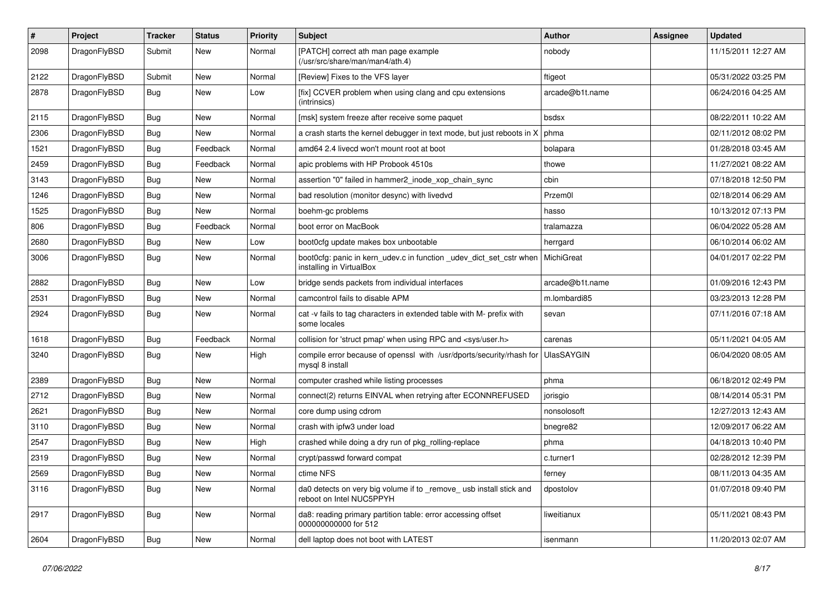| $\pmb{\#}$ | Project      | <b>Tracker</b> | <b>Status</b> | <b>Priority</b> | Subject                                                                                         | <b>Author</b>   | Assignee | <b>Updated</b>      |
|------------|--------------|----------------|---------------|-----------------|-------------------------------------------------------------------------------------------------|-----------------|----------|---------------------|
| 2098       | DragonFlyBSD | Submit         | New           | Normal          | [PATCH] correct ath man page example<br>(/usr/src/share/man/man4/ath.4)                         | nobody          |          | 11/15/2011 12:27 AM |
| 2122       | DragonFlyBSD | Submit         | New           | Normal          | [Review] Fixes to the VFS layer                                                                 | ftigeot         |          | 05/31/2022 03:25 PM |
| 2878       | DragonFlyBSD | Bug            | New           | Low             | [fix] CCVER problem when using clang and cpu extensions<br>(intrinsics)                         | arcade@b1t.name |          | 06/24/2016 04:25 AM |
| 2115       | DragonFlyBSD | <b>Bug</b>     | New           | Normal          | [msk] system freeze after receive some paquet                                                   | bsdsx           |          | 08/22/2011 10:22 AM |
| 2306       | DragonFlyBSD | Bug            | New           | Normal          | a crash starts the kernel debugger in text mode, but just reboots in X                          | phma            |          | 02/11/2012 08:02 PM |
| 1521       | DragonFlyBSD | Bug            | Feedback      | Normal          | amd64 2.4 livecd won't mount root at boot                                                       | bolapara        |          | 01/28/2018 03:45 AM |
| 2459       | DragonFlyBSD | Bug            | Feedback      | Normal          | apic problems with HP Probook 4510s                                                             | thowe           |          | 11/27/2021 08:22 AM |
| 3143       | DragonFlyBSD | Bug            | <b>New</b>    | Normal          | assertion "0" failed in hammer2_inode_xop_chain_sync                                            | cbin            |          | 07/18/2018 12:50 PM |
| 1246       | DragonFlyBSD | Bug            | New           | Normal          | bad resolution (monitor desync) with livedvd                                                    | Przem0l         |          | 02/18/2014 06:29 AM |
| 1525       | DragonFlyBSD | Bug            | <b>New</b>    | Normal          | boehm-gc problems                                                                               | hasso           |          | 10/13/2012 07:13 PM |
| 806        | DragonFlyBSD | Bug            | Feedback      | Normal          | boot error on MacBook                                                                           | tralamazza      |          | 06/04/2022 05:28 AM |
| 2680       | DragonFlyBSD | <b>Bug</b>     | <b>New</b>    | Low             | boot0cfg update makes box unbootable                                                            | herrgard        |          | 06/10/2014 06:02 AM |
| 3006       | DragonFlyBSD | Bug            | New           | Normal          | boot0cfg: panic in kern_udev.c in function _udev_dict_set_cstr when<br>installing in VirtualBox | MichiGreat      |          | 04/01/2017 02:22 PM |
| 2882       | DragonFlyBSD | Bug            | <b>New</b>    | Low             | bridge sends packets from individual interfaces                                                 | arcade@b1t.name |          | 01/09/2016 12:43 PM |
| 2531       | DragonFlyBSD | Bug            | <b>New</b>    | Normal          | camcontrol fails to disable APM                                                                 | m.lombardi85    |          | 03/23/2013 12:28 PM |
| 2924       | DragonFlyBSD | Bug            | New           | Normal          | cat -v fails to tag characters in extended table with M- prefix with<br>some locales            | sevan           |          | 07/11/2016 07:18 AM |
| 1618       | DragonFlyBSD | Bug            | Feedback      | Normal          | collision for 'struct pmap' when using RPC and <sys user.h=""></sys>                            | carenas         |          | 05/11/2021 04:05 AM |
| 3240       | DragonFlyBSD | Bug            | New           | High            | compile error because of openssl with /usr/dports/security/rhash for<br>mysql 8 install         | UlasSAYGIN      |          | 06/04/2020 08:05 AM |
| 2389       | DragonFlyBSD | <b>Bug</b>     | <b>New</b>    | Normal          | computer crashed while listing processes                                                        | phma            |          | 06/18/2012 02:49 PM |
| 2712       | DragonFlyBSD | Bug            | <b>New</b>    | Normal          | connect(2) returns EINVAL when retrying after ECONNREFUSED                                      | jorisgio        |          | 08/14/2014 05:31 PM |
| 2621       | DragonFlyBSD | Bug            | <b>New</b>    | Normal          | core dump using cdrom                                                                           | nonsolosoft     |          | 12/27/2013 12:43 AM |
| 3110       | DragonFlyBSD | Bug            | New           | Normal          | crash with ipfw3 under load                                                                     | bnegre82        |          | 12/09/2017 06:22 AM |
| 2547       | DragonFlyBSD | Bug            | New           | High            | crashed while doing a dry run of pkg_rolling-replace                                            | phma            |          | 04/18/2013 10:40 PM |
| 2319       | DragonFlyBSD | Bug            | New           | Normal          | crypt/passwd forward compat                                                                     | c.turner1       |          | 02/28/2012 12:39 PM |
| 2569       | DragonFlyBSD | Bug            | New           | Normal          | ctime NFS                                                                                       | terney          |          | 08/11/2013 04:35 AM |
| 3116       | DragonFlyBSD | Bug            | New           | Normal          | da0 detects on very big volume if to _remove_ usb install stick and<br>reboot on Intel NUC5PPYH | dpostolov       |          | 01/07/2018 09:40 PM |
| 2917       | DragonFlyBSD | <b>Bug</b>     | New           | Normal          | da8: reading primary partition table: error accessing offset<br>000000000000 for 512            | liweitianux     |          | 05/11/2021 08:43 PM |
| 2604       | DragonFlyBSD | <b>Bug</b>     | New           | Normal          | dell laptop does not boot with LATEST                                                           | isenmann        |          | 11/20/2013 02:07 AM |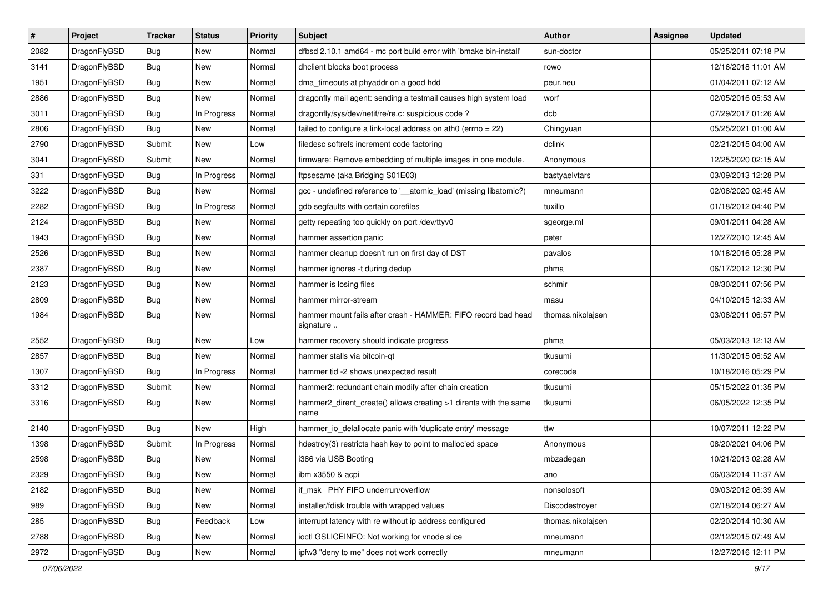| $\pmb{\#}$ | Project      | <b>Tracker</b> | <b>Status</b> | <b>Priority</b> | Subject                                                                    | <b>Author</b>     | <b>Assignee</b> | <b>Updated</b>      |
|------------|--------------|----------------|---------------|-----------------|----------------------------------------------------------------------------|-------------------|-----------------|---------------------|
| 2082       | DragonFlyBSD | Bug            | New           | Normal          | dfbsd 2.10.1 amd64 - mc port build error with 'bmake bin-install'          | sun-doctor        |                 | 05/25/2011 07:18 PM |
| 3141       | DragonFlyBSD | Bug            | <b>New</b>    | Normal          | dhclient blocks boot process                                               | rowo              |                 | 12/16/2018 11:01 AM |
| 1951       | DragonFlyBSD | Bug            | <b>New</b>    | Normal          | dma_timeouts at phyaddr on a good hdd                                      | peur.neu          |                 | 01/04/2011 07:12 AM |
| 2886       | DragonFlyBSD | Bug            | New           | Normal          | dragonfly mail agent: sending a testmail causes high system load           | worf              |                 | 02/05/2016 05:53 AM |
| 3011       | DragonFlyBSD | Bug            | In Progress   | Normal          | dragonfly/sys/dev/netif/re/re.c: suspicious code ?                         | dcb               |                 | 07/29/2017 01:26 AM |
| 2806       | DragonFlyBSD | <b>Bug</b>     | New           | Normal          | failed to configure a link-local address on ath0 (errno = 22)              | Chingyuan         |                 | 05/25/2021 01:00 AM |
| 2790       | DragonFlyBSD | Submit         | New           | Low             | filedesc softrefs increment code factoring                                 | dclink            |                 | 02/21/2015 04:00 AM |
| 3041       | DragonFlyBSD | Submit         | New           | Normal          | firmware: Remove embedding of multiple images in one module.               | Anonymous         |                 | 12/25/2020 02:15 AM |
| 331        | DragonFlyBSD | Bug            | In Progress   | Normal          | ftpsesame (aka Bridging S01E03)                                            | bastyaelvtars     |                 | 03/09/2013 12:28 PM |
| 3222       | DragonFlyBSD | Bug            | New           | Normal          | gcc - undefined reference to '__atomic_load' (missing libatomic?)          | mneumann          |                 | 02/08/2020 02:45 AM |
| 2282       | DragonFlyBSD | <b>Bug</b>     | In Progress   | Normal          | gdb segfaults with certain corefiles                                       | tuxillo           |                 | 01/18/2012 04:40 PM |
| 2124       | DragonFlyBSD | Bug            | New           | Normal          | getty repeating too quickly on port /dev/ttyv0                             | sgeorge.ml        |                 | 09/01/2011 04:28 AM |
| 1943       | DragonFlyBSD | <b>Bug</b>     | <b>New</b>    | Normal          | hammer assertion panic                                                     | peter             |                 | 12/27/2010 12:45 AM |
| 2526       | DragonFlyBSD | Bug            | <b>New</b>    | Normal          | hammer cleanup doesn't run on first day of DST                             | pavalos           |                 | 10/18/2016 05:28 PM |
| 2387       | DragonFlyBSD | Bug            | <b>New</b>    | Normal          | hammer ignores -t during dedup                                             | phma              |                 | 06/17/2012 12:30 PM |
| 2123       | DragonFlyBSD | Bug            | <b>New</b>    | Normal          | hammer is losing files                                                     | schmir            |                 | 08/30/2011 07:56 PM |
| 2809       | DragonFlyBSD | <b>Bug</b>     | <b>New</b>    | Normal          | hammer mirror-stream                                                       | masu              |                 | 04/10/2015 12:33 AM |
| 1984       | DragonFlyBSD | Bug            | <b>New</b>    | Normal          | hammer mount fails after crash - HAMMER: FIFO record bad head<br>signature | thomas.nikolajsen |                 | 03/08/2011 06:57 PM |
| 2552       | DragonFlyBSD | Bug            | <b>New</b>    | Low             | hammer recovery should indicate progress                                   | phma              |                 | 05/03/2013 12:13 AM |
| 2857       | DragonFlyBSD | Bug            | New           | Normal          | hammer stalls via bitcoin-qt                                               | tkusumi           |                 | 11/30/2015 06:52 AM |
| 1307       | DragonFlyBSD | <b>Bug</b>     | In Progress   | Normal          | hammer tid -2 shows unexpected result                                      | corecode          |                 | 10/18/2016 05:29 PM |
| 3312       | DragonFlyBSD | Submit         | <b>New</b>    | Normal          | hammer2: redundant chain modify after chain creation                       | tkusumi           |                 | 05/15/2022 01:35 PM |
| 3316       | DragonFlyBSD | <b>Bug</b>     | New           | Normal          | hammer2_dirent_create() allows creating >1 dirents with the same<br>name   | tkusumi           |                 | 06/05/2022 12:35 PM |
| 2140       | DragonFlyBSD | Bug            | <b>New</b>    | High            | hammer_io_delallocate panic with 'duplicate entry' message                 | ttw               |                 | 10/07/2011 12:22 PM |
| 1398       | DragonFlyBSD | Submit         | In Progress   | Normal          | hdestroy(3) restricts hash key to point to malloc'ed space                 | Anonymous         |                 | 08/20/2021 04:06 PM |
| 2598       | DragonFlyBSD | <b>Bug</b>     | New           | Normal          | i386 via USB Booting                                                       | mbzadegan         |                 | 10/21/2013 02:28 AM |
| 2329       | DragonFlyBSD | <b>Bug</b>     | New           | Normal          | ibm x3550 & acpi                                                           | ano               |                 | 06/03/2014 11:37 AM |
| 2182       | DragonFlyBSD | <b>Bug</b>     | New           | Normal          | if_msk PHY FIFO underrun/overflow                                          | nonsolosoft       |                 | 09/03/2012 06:39 AM |
| 989        | DragonFlyBSD | Bug            | New           | Normal          | installer/fdisk trouble with wrapped values                                | Discodestroyer    |                 | 02/18/2014 06:27 AM |
| 285        | DragonFlyBSD | <b>Bug</b>     | Feedback      | Low             | interrupt latency with re without ip address configured                    | thomas.nikolajsen |                 | 02/20/2014 10:30 AM |
| 2788       | DragonFlyBSD | <b>Bug</b>     | New           | Normal          | ioctl GSLICEINFO: Not working for vnode slice                              | mneumann          |                 | 02/12/2015 07:49 AM |
| 2972       | DragonFlyBSD | Bug            | New           | Normal          | ipfw3 "deny to me" does not work correctly                                 | mneumann          |                 | 12/27/2016 12:11 PM |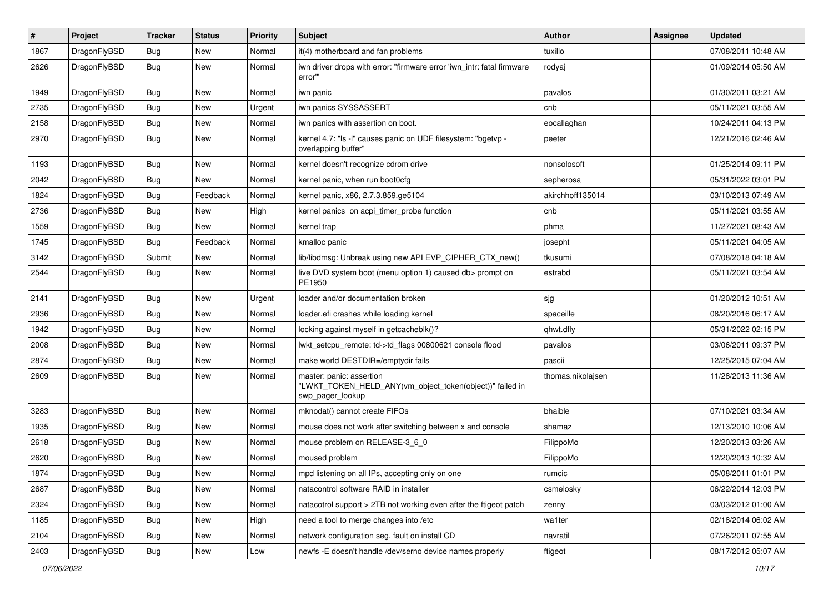| $\pmb{\#}$ | Project      | <b>Tracker</b> | <b>Status</b> | <b>Priority</b> | Subject                                                                                                  | <b>Author</b>     | Assignee | <b>Updated</b>      |
|------------|--------------|----------------|---------------|-----------------|----------------------------------------------------------------------------------------------------------|-------------------|----------|---------------------|
| 1867       | DragonFlyBSD | Bug            | New           | Normal          | it(4) motherboard and fan problems                                                                       | tuxillo           |          | 07/08/2011 10:48 AM |
| 2626       | DragonFlyBSD | Bug            | New           | Normal          | iwn driver drops with error: "firmware error 'iwn_intr: fatal firmware<br>error"                         | rodyaj            |          | 01/09/2014 05:50 AM |
| 1949       | DragonFlyBSD | <b>Bug</b>     | <b>New</b>    | Normal          | iwn panic                                                                                                | pavalos           |          | 01/30/2011 03:21 AM |
| 2735       | DragonFlyBSD | Bug            | <b>New</b>    | Urgent          | iwn panics SYSSASSERT                                                                                    | cnb               |          | 05/11/2021 03:55 AM |
| 2158       | DragonFlyBSD | Bug            | New           | Normal          | iwn panics with assertion on boot.                                                                       | eocallaghan       |          | 10/24/2011 04:13 PM |
| 2970       | DragonFlyBSD | Bug            | New           | Normal          | kernel 4.7: "Is -I" causes panic on UDF filesystem: "bgetvp -<br>overlapping buffer"                     | peeter            |          | 12/21/2016 02:46 AM |
| 1193       | DragonFlyBSD | Bug            | <b>New</b>    | Normal          | kernel doesn't recognize cdrom drive                                                                     | nonsolosoft       |          | 01/25/2014 09:11 PM |
| 2042       | DragonFlyBSD | Bug            | New           | Normal          | kernel panic, when run boot0cfg                                                                          | sepherosa         |          | 05/31/2022 03:01 PM |
| 1824       | DragonFlyBSD | <b>Bug</b>     | Feedback      | Normal          | kernel panic, x86, 2.7.3.859.ge5104                                                                      | akirchhoff135014  |          | 03/10/2013 07:49 AM |
| 2736       | DragonFlyBSD | Bug            | <b>New</b>    | High            | kernel panics on acpi timer probe function                                                               | cnb               |          | 05/11/2021 03:55 AM |
| 1559       | DragonFlyBSD | <b>Bug</b>     | <b>New</b>    | Normal          | kernel trap                                                                                              | phma              |          | 11/27/2021 08:43 AM |
| 1745       | DragonFlyBSD | <b>Bug</b>     | Feedback      | Normal          | kmalloc panic                                                                                            | josepht           |          | 05/11/2021 04:05 AM |
| 3142       | DragonFlyBSD | Submit         | <b>New</b>    | Normal          | lib/libdmsg: Unbreak using new API EVP_CIPHER_CTX_new()                                                  | tkusumi           |          | 07/08/2018 04:18 AM |
| 2544       | DragonFlyBSD | Bug            | New           | Normal          | live DVD system boot (menu option 1) caused db> prompt on<br>PE1950                                      | estrabd           |          | 05/11/2021 03:54 AM |
| 2141       | DragonFlyBSD | Bug            | <b>New</b>    | Urgent          | loader and/or documentation broken                                                                       | sjg               |          | 01/20/2012 10:51 AM |
| 2936       | DragonFlyBSD | <b>Bug</b>     | <b>New</b>    | Normal          | loader.efi crashes while loading kernel                                                                  | spaceille         |          | 08/20/2016 06:17 AM |
| 1942       | DragonFlyBSD | Bug            | <b>New</b>    | Normal          | locking against myself in getcacheblk()?                                                                 | qhwt.dfly         |          | 05/31/2022 02:15 PM |
| 2008       | DragonFlyBSD | <b>Bug</b>     | <b>New</b>    | Normal          | lwkt_setcpu_remote: td->td_flags 00800621 console flood                                                  | pavalos           |          | 03/06/2011 09:37 PM |
| 2874       | DragonFlyBSD | <b>Bug</b>     | <b>New</b>    | Normal          | make world DESTDIR=/emptydir fails                                                                       | pascii            |          | 12/25/2015 07:04 AM |
| 2609       | DragonFlyBSD | Bug            | New           | Normal          | master: panic: assertion<br>"LWKT_TOKEN_HELD_ANY(vm_object_token(object))" failed in<br>swp_pager_lookup | thomas.nikolajsen |          | 11/28/2013 11:36 AM |
| 3283       | DragonFlyBSD | Bug            | <b>New</b>    | Normal          | mknodat() cannot create FIFOs                                                                            | bhaible           |          | 07/10/2021 03:34 AM |
| 1935       | DragonFlyBSD | Bug            | New           | Normal          | mouse does not work after switching between x and console                                                | shamaz            |          | 12/13/2010 10:06 AM |
| 2618       | DragonFlyBSD | Bug            | <b>New</b>    | Normal          | mouse problem on RELEASE-3_6_0                                                                           | FilippoMo         |          | 12/20/2013 03:26 AM |
| 2620       | DragonFlyBSD | Bug            | New           | Normal          | moused problem                                                                                           | FilippoMo         |          | 12/20/2013 10:32 AM |
| 1874       | DragonFlyBSD | <b>Bug</b>     | New           | Normal          | mpd listening on all IPs, accepting only on one                                                          | rumcic            |          | 05/08/2011 01:01 PM |
| 2687       | DragonFlyBSD | Bug            | <b>New</b>    | Normal          | natacontrol software RAID in installer                                                                   | csmelosky         |          | 06/22/2014 12:03 PM |
| 2324       | DragonFlyBSD | <b>Bug</b>     | New           | Normal          | natacotrol support > 2TB not working even after the ftigeot patch                                        | zenny             |          | 03/03/2012 01:00 AM |
| 1185       | DragonFlyBSD | <b>Bug</b>     | New           | High            | need a tool to merge changes into /etc                                                                   | wa1ter            |          | 02/18/2014 06:02 AM |
| 2104       | DragonFlyBSD | <b>Bug</b>     | New           | Normal          | network configuration seg. fault on install CD                                                           | navratil          |          | 07/26/2011 07:55 AM |
| 2403       | DragonFlyBSD | <b>Bug</b>     | New           | Low             | newfs -E doesn't handle /dev/serno device names properly                                                 | ftigeot           |          | 08/17/2012 05:07 AM |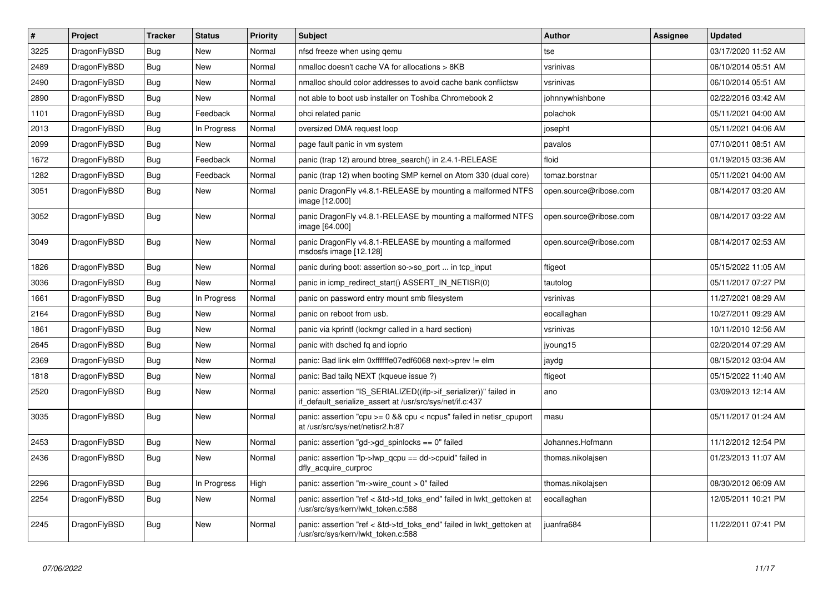| $\vert$ # | <b>Project</b> | <b>Tracker</b> | <b>Status</b> | <b>Priority</b> | <b>Subject</b>                                                                                                               | Author                 | Assignee | <b>Updated</b>      |
|-----------|----------------|----------------|---------------|-----------------|------------------------------------------------------------------------------------------------------------------------------|------------------------|----------|---------------------|
| 3225      | DragonFlyBSD   | Bug            | <b>New</b>    | Normal          | nfsd freeze when using gemu                                                                                                  | tse                    |          | 03/17/2020 11:52 AM |
| 2489      | DragonFlyBSD   | <b>Bug</b>     | New           | Normal          | nmalloc doesn't cache VA for allocations > 8KB                                                                               | vsrinivas              |          | 06/10/2014 05:51 AM |
| 2490      | DragonFlyBSD   | Bug            | <b>New</b>    | Normal          | nmalloc should color addresses to avoid cache bank conflictsw                                                                | vsrinivas              |          | 06/10/2014 05:51 AM |
| 2890      | DragonFlyBSD   | Bug            | New           | Normal          | not able to boot usb installer on Toshiba Chromebook 2                                                                       | johnnywhishbone        |          | 02/22/2016 03:42 AM |
| 1101      | DragonFlyBSD   | <b>Bug</b>     | Feedback      | Normal          | ohci related panic                                                                                                           | polachok               |          | 05/11/2021 04:00 AM |
| 2013      | DragonFlyBSD   | <b>Bug</b>     | In Progress   | Normal          | oversized DMA request loop                                                                                                   | josepht                |          | 05/11/2021 04:06 AM |
| 2099      | DragonFlyBSD   | Bug            | New           | Normal          | page fault panic in vm system                                                                                                | pavalos                |          | 07/10/2011 08:51 AM |
| 1672      | DragonFlyBSD   | <b>Bug</b>     | Feedback      | Normal          | panic (trap 12) around btree_search() in 2.4.1-RELEASE                                                                       | floid                  |          | 01/19/2015 03:36 AM |
| 1282      | DragonFlyBSD   | <b>Bug</b>     | Feedback      | Normal          | panic (trap 12) when booting SMP kernel on Atom 330 (dual core)                                                              | tomaz.borstnar         |          | 05/11/2021 04:00 AM |
| 3051      | DragonFlyBSD   | <b>Bug</b>     | <b>New</b>    | Normal          | panic DragonFly v4.8.1-RELEASE by mounting a malformed NTFS<br>image [12.000]                                                | open.source@ribose.com |          | 08/14/2017 03:20 AM |
| 3052      | DragonFlyBSD   | <b>Bug</b>     | <b>New</b>    | Normal          | panic DragonFly v4.8.1-RELEASE by mounting a malformed NTFS<br>image [64.000]                                                | open.source@ribose.com |          | 08/14/2017 03:22 AM |
| 3049      | DragonFlyBSD   | <b>Bug</b>     | New           | Normal          | panic DragonFly v4.8.1-RELEASE by mounting a malformed<br>msdosfs image [12.128]                                             | open.source@ribose.com |          | 08/14/2017 02:53 AM |
| 1826      | DragonFlyBSD   | Bug            | <b>New</b>    | Normal          | panic during boot: assertion so->so_port  in tcp_input                                                                       | ftigeot                |          | 05/15/2022 11:05 AM |
| 3036      | DragonFlyBSD   | Bug            | <b>New</b>    | Normal          | panic in icmp redirect start() ASSERT IN NETISR(0)                                                                           | tautolog               |          | 05/11/2017 07:27 PM |
| 1661      | DragonFlyBSD   | <b>Bug</b>     | In Progress   | Normal          | panic on password entry mount smb filesystem                                                                                 | vsrinivas              |          | 11/27/2021 08:29 AM |
| 2164      | DragonFlyBSD   | Bug            | <b>New</b>    | Normal          | panic on reboot from usb.                                                                                                    | eocallaghan            |          | 10/27/2011 09:29 AM |
| 1861      | DragonFlyBSD   | <b>Bug</b>     | <b>New</b>    | Normal          | panic via kprintf (lockmgr called in a hard section)                                                                         | vsrinivas              |          | 10/11/2010 12:56 AM |
| 2645      | DragonFlyBSD   | <b>Bug</b>     | <b>New</b>    | Normal          | panic with dsched fq and ioprio                                                                                              | jyoung15               |          | 02/20/2014 07:29 AM |
| 2369      | DragonFlyBSD   | Bug            | New           | Normal          | panic: Bad link elm 0xffffffe07edf6068 next->prev != elm                                                                     | jaydg                  |          | 08/15/2012 03:04 AM |
| 1818      | DragonFlyBSD   | <b>Bug</b>     | New           | Normal          | panic: Bad tailg NEXT (kqueue issue ?)                                                                                       | ftigeot                |          | 05/15/2022 11:40 AM |
| 2520      | DragonFlyBSD   | <b>Bug</b>     | New           | Normal          | panic: assertion "IS_SERIALIZED((ifp->if_serializer))" failed in<br>if default serialize assert at /usr/src/sys/net/if.c:437 | ano                    |          | 03/09/2013 12:14 AM |
| 3035      | DragonFlyBSD   | <b>Bug</b>     | <b>New</b>    | Normal          | panic: assertion "cpu >= 0 && cpu < ncpus" failed in netisr_cpuport<br>at /usr/src/sys/net/netisr2.h:87                      | masu                   |          | 05/11/2017 01:24 AM |
| 2453      | DragonFlyBSD   | <b>Bug</b>     | New           | Normal          | panic: assertion "gd->gd spinlocks == $0$ " failed                                                                           | Johannes.Hofmann       |          | 11/12/2012 12:54 PM |
| 2436      | DragonFlyBSD   | Bug            | <b>New</b>    | Normal          | panic: assertion "lp->lwp_qcpu == dd->cpuid" failed in<br>dfly_acquire_curproc                                               | thomas.nikolajsen      |          | 01/23/2013 11:07 AM |
| 2296      | DragonFlyBSD   | <b>Bug</b>     | In Progress   | High            | panic: assertion "m->wire count > 0" failed                                                                                  | thomas.nikolajsen      |          | 08/30/2012 06:09 AM |
| 2254      | DragonFlyBSD   | <b>Bug</b>     | <b>New</b>    | Normal          | panic: assertion "ref < &td->td_toks_end" failed in lwkt_gettoken at<br>/usr/src/sys/kern/lwkt_token.c:588                   | eocallaghan            |          | 12/05/2011 10:21 PM |
| 2245      | DragonFlyBSD   | Bug            | New           | Normal          | panic: assertion "ref < &td->td toks end" failed in lwkt gettoken at<br>/usr/src/sys/kern/lwkt_token.c:588                   | juanfra684             |          | 11/22/2011 07:41 PM |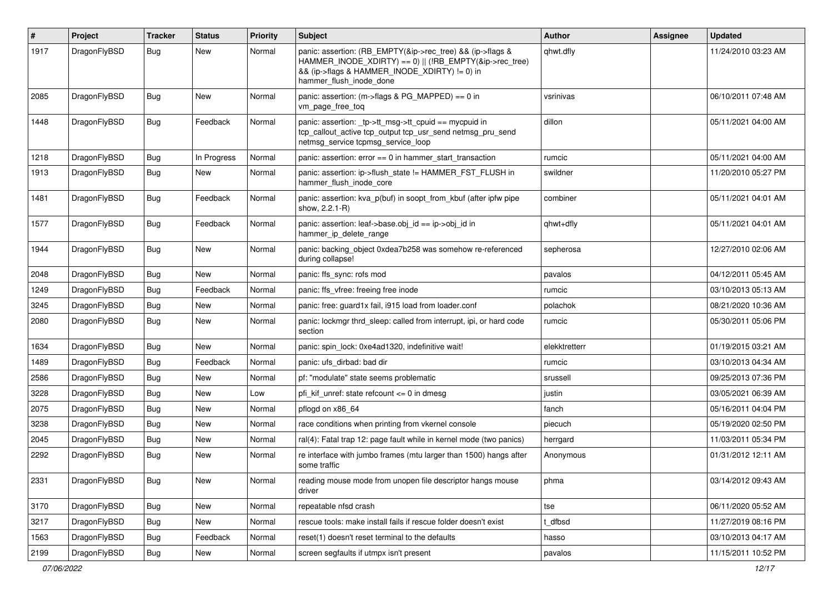| #    | Project      | <b>Tracker</b> | <b>Status</b> | <b>Priority</b> | Subject                                                                                                                                                                                           | <b>Author</b> | Assignee | <b>Updated</b>      |
|------|--------------|----------------|---------------|-----------------|---------------------------------------------------------------------------------------------------------------------------------------------------------------------------------------------------|---------------|----------|---------------------|
| 1917 | DragonFlyBSD | Bug            | <b>New</b>    | Normal          | panic: assertion: (RB_EMPTY(&ip->rec_tree) && (ip->flags &<br>HAMMER_INODE_XDIRTY) == 0)    (!RB_EMPTY(&ip->rec_tree)<br>&& (ip->flags & HAMMER_INODE_XDIRTY) != 0) in<br>hammer flush inode done | qhwt.dfly     |          | 11/24/2010 03:23 AM |
| 2085 | DragonFlyBSD | <b>Bug</b>     | New           | Normal          | panic: assertion: (m->flags & PG_MAPPED) == 0 in<br>vm_page_free_toq                                                                                                                              | vsrinivas     |          | 06/10/2011 07:48 AM |
| 1448 | DragonFlyBSD | Bug            | Feedback      | Normal          | panic: assertion: tp->tt_msg->tt_cpuid == mycpuid in<br>tcp_callout_active tcp_output tcp_usr_send netmsg_pru_send<br>netmsg service tcpmsg service loop                                          | dillon        |          | 05/11/2021 04:00 AM |
| 1218 | DragonFlyBSD | <b>Bug</b>     | In Progress   | Normal          | panic: assertion: error == 0 in hammer_start_transaction                                                                                                                                          | rumcic        |          | 05/11/2021 04:00 AM |
| 1913 | DragonFlyBSD | <b>Bug</b>     | New           | Normal          | panic: assertion: ip->flush_state != HAMMER_FST_FLUSH in<br>hammer flush inode core                                                                                                               | swildner      |          | 11/20/2010 05:27 PM |
| 1481 | DragonFlyBSD | Bug            | Feedback      | Normal          | panic: assertion: kva_p(buf) in soopt_from_kbuf (after ipfw pipe<br>show, 2.2.1-R)                                                                                                                | combiner      |          | 05/11/2021 04:01 AM |
| 1577 | DragonFlyBSD | Bug            | Feedback      | Normal          | panic: assertion: leaf->base.obj_id == ip->obj_id in<br>hammer_ip_delete_range                                                                                                                    | qhwt+dfly     |          | 05/11/2021 04:01 AM |
| 1944 | DragonFlyBSD | Bug            | <b>New</b>    | Normal          | panic: backing object 0xdea7b258 was somehow re-referenced<br>during collapse!                                                                                                                    | sepherosa     |          | 12/27/2010 02:06 AM |
| 2048 | DragonFlyBSD | <b>Bug</b>     | <b>New</b>    | Normal          | panic: ffs sync: rofs mod                                                                                                                                                                         | pavalos       |          | 04/12/2011 05:45 AM |
| 1249 | DragonFlyBSD | <b>Bug</b>     | Feedback      | Normal          | panic: ffs vfree: freeing free inode                                                                                                                                                              | rumcic        |          | 03/10/2013 05:13 AM |
| 3245 | DragonFlyBSD | <b>Bug</b>     | <b>New</b>    | Normal          | panic: free: guard1x fail, i915 load from loader.conf                                                                                                                                             | polachok      |          | 08/21/2020 10:36 AM |
| 2080 | DragonFlyBSD | Bug            | New           | Normal          | panic: lockmgr thrd_sleep: called from interrupt, ipi, or hard code<br>section                                                                                                                    | rumcic        |          | 05/30/2011 05:06 PM |
| 1634 | DragonFlyBSD | Bug            | <b>New</b>    | Normal          | panic: spin_lock: 0xe4ad1320, indefinitive wait!                                                                                                                                                  | elekktretterr |          | 01/19/2015 03:21 AM |
| 1489 | DragonFlyBSD | <b>Bug</b>     | Feedback      | Normal          | panic: ufs dirbad: bad dir                                                                                                                                                                        | rumcic        |          | 03/10/2013 04:34 AM |
| 2586 | DragonFlyBSD | <b>Bug</b>     | <b>New</b>    | Normal          | pf: "modulate" state seems problematic                                                                                                                                                            | srussell      |          | 09/25/2013 07:36 PM |
| 3228 | DragonFlyBSD | <b>Bug</b>     | <b>New</b>    | Low             | pfi kif unref: state refcount $\leq$ 0 in dmesg                                                                                                                                                   | justin        |          | 03/05/2021 06:39 AM |
| 2075 | DragonFlyBSD | <b>Bug</b>     | <b>New</b>    | Normal          | pflogd on x86 64                                                                                                                                                                                  | fanch         |          | 05/16/2011 04:04 PM |
| 3238 | DragonFlyBSD | <b>Bug</b>     | <b>New</b>    | Normal          | race conditions when printing from vkernel console                                                                                                                                                | piecuch       |          | 05/19/2020 02:50 PM |
| 2045 | DragonFlyBSD | Bug            | New           | Normal          | ral(4): Fatal trap 12: page fault while in kernel mode (two panics)                                                                                                                               | herrgard      |          | 11/03/2011 05:34 PM |
| 2292 | DragonFlyBSD | <b>Bug</b>     | New           | Normal          | re interface with jumbo frames (mtu larger than 1500) hangs after<br>some traffic                                                                                                                 | Anonymous     |          | 01/31/2012 12:11 AM |
| 2331 | DragonFlyBSD | <b>Bug</b>     | New           | Normal          | reading mouse mode from unopen file descriptor hangs mouse<br>driver                                                                                                                              | phma          |          | 03/14/2012 09:43 AM |
| 3170 | DragonFlyBSD | <b>Bug</b>     | New           | Normal          | repeatable nfsd crash                                                                                                                                                                             | tse           |          | 06/11/2020 05:52 AM |
| 3217 | DragonFlyBSD | <b>Bug</b>     | New           | Normal          | rescue tools: make install fails if rescue folder doesn't exist                                                                                                                                   | t_dfbsd       |          | 11/27/2019 08:16 PM |
| 1563 | DragonFlyBSD | <b>Bug</b>     | Feedback      | Normal          | reset(1) doesn't reset terminal to the defaults                                                                                                                                                   | hasso         |          | 03/10/2013 04:17 AM |
| 2199 | DragonFlyBSD | <b>Bug</b>     | New           | Normal          | screen segfaults if utmpx isn't present                                                                                                                                                           | pavalos       |          | 11/15/2011 10:52 PM |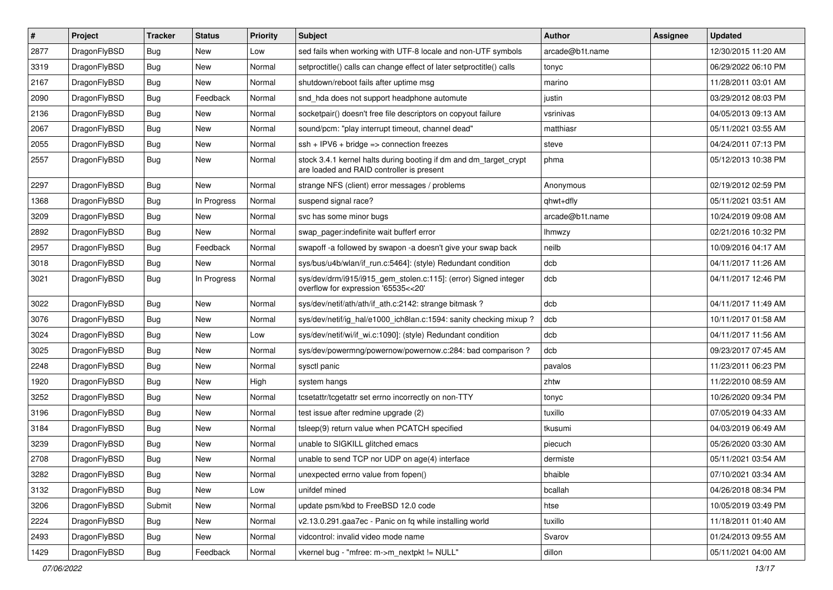| $\pmb{\#}$ | Project      | <b>Tracker</b> | <b>Status</b> | <b>Priority</b> | <b>Subject</b>                                                                                                 | <b>Author</b>   | <b>Assignee</b> | <b>Updated</b>      |
|------------|--------------|----------------|---------------|-----------------|----------------------------------------------------------------------------------------------------------------|-----------------|-----------------|---------------------|
| 2877       | DragonFlyBSD | Bug            | <b>New</b>    | Low             | sed fails when working with UTF-8 locale and non-UTF symbols                                                   | arcade@b1t.name |                 | 12/30/2015 11:20 AM |
| 3319       | DragonFlyBSD | Bug            | <b>New</b>    | Normal          | setproctitle() calls can change effect of later setproctitle() calls                                           | tonyc           |                 | 06/29/2022 06:10 PM |
| 2167       | DragonFlyBSD | Bug            | <b>New</b>    | Normal          | shutdown/reboot fails after uptime msg                                                                         | marino          |                 | 11/28/2011 03:01 AM |
| 2090       | DragonFlyBSD | Bug            | Feedback      | Normal          | snd_hda does not support headphone automute                                                                    | justin          |                 | 03/29/2012 08:03 PM |
| 2136       | DragonFlyBSD | Bug            | <b>New</b>    | Normal          | socketpair() doesn't free file descriptors on copyout failure                                                  | vsrinivas       |                 | 04/05/2013 09:13 AM |
| 2067       | DragonFlyBSD | Bug            | New           | Normal          | sound/pcm: "play interrupt timeout, channel dead"                                                              | matthiasr       |                 | 05/11/2021 03:55 AM |
| 2055       | DragonFlyBSD | Bug            | <b>New</b>    | Normal          | $ssh + IPV6 + bridge \Rightarrow$ connection freezes                                                           | steve           |                 | 04/24/2011 07:13 PM |
| 2557       | DragonFlyBSD | Bug            | New           | Normal          | stock 3.4.1 kernel halts during booting if dm and dm_target_crypt<br>are loaded and RAID controller is present | phma            |                 | 05/12/2013 10:38 PM |
| 2297       | DragonFlyBSD | Bug            | <b>New</b>    | Normal          | strange NFS (client) error messages / problems                                                                 | Anonymous       |                 | 02/19/2012 02:59 PM |
| 1368       | DragonFlyBSD | Bug            | In Progress   | Normal          | suspend signal race?                                                                                           | qhwt+dfly       |                 | 05/11/2021 03:51 AM |
| 3209       | DragonFlyBSD | <b>Bug</b>     | <b>New</b>    | Normal          | svc has some minor bugs                                                                                        | arcade@b1t.name |                 | 10/24/2019 09:08 AM |
| 2892       | DragonFlyBSD | Bug            | <b>New</b>    | Normal          | swap_pager:indefinite wait bufferf error                                                                       | <b>Ihmwzy</b>   |                 | 02/21/2016 10:32 PM |
| 2957       | DragonFlyBSD | Bug            | Feedback      | Normal          | swapoff -a followed by swapon -a doesn't give your swap back                                                   | neilb           |                 | 10/09/2016 04:17 AM |
| 3018       | DragonFlyBSD | Bug            | <b>New</b>    | Normal          | sys/bus/u4b/wlan/if_run.c:5464]: (style) Redundant condition                                                   | dcb             |                 | 04/11/2017 11:26 AM |
| 3021       | DragonFlyBSD | Bug            | In Progress   | Normal          | sys/dev/drm/i915/i915_gem_stolen.c:115]: (error) Signed integer<br>overflow for expression '65535<<20'         | dcb             |                 | 04/11/2017 12:46 PM |
| 3022       | DragonFlyBSD | Bug            | <b>New</b>    | Normal          | sys/dev/netif/ath/ath/if_ath.c:2142: strange bitmask?                                                          | dcb             |                 | 04/11/2017 11:49 AM |
| 3076       | DragonFlyBSD | Bug            | <b>New</b>    | Normal          | sys/dev/netif/ig hal/e1000 ich8lan.c:1594: sanity checking mixup?                                              | dcb             |                 | 10/11/2017 01:58 AM |
| 3024       | DragonFlyBSD | Bug            | New           | Low             | sys/dev/netif/wi/if_wi.c:1090]: (style) Redundant condition                                                    | dcb             |                 | 04/11/2017 11:56 AM |
| 3025       | DragonFlyBSD | Bug            | <b>New</b>    | Normal          | sys/dev/powermng/powernow/powernow.c:284: bad comparison ?                                                     | dcb             |                 | 09/23/2017 07:45 AM |
| 2248       | DragonFlyBSD | Bug            | New           | Normal          | sysctl panic                                                                                                   | pavalos         |                 | 11/23/2011 06:23 PM |
| 1920       | DragonFlyBSD | Bug            | <b>New</b>    | High            | system hangs                                                                                                   | zhtw            |                 | 11/22/2010 08:59 AM |
| 3252       | DragonFlyBSD | Bug            | New           | Normal          | tcsetattr/tcgetattr set errno incorrectly on non-TTY                                                           | tonyc           |                 | 10/26/2020 09:34 PM |
| 3196       | DragonFlyBSD | <b>Bug</b>     | New           | Normal          | test issue after redmine upgrade (2)                                                                           | tuxillo         |                 | 07/05/2019 04:33 AM |
| 3184       | DragonFlyBSD | Bug            | <b>New</b>    | Normal          | tsleep(9) return value when PCATCH specified                                                                   | tkusumi         |                 | 04/03/2019 06:49 AM |
| 3239       | DragonFlyBSD | Bug            | New           | Normal          | unable to SIGKILL glitched emacs                                                                               | piecuch         |                 | 05/26/2020 03:30 AM |
| 2708       | DragonFlyBSD | Bug            | <b>New</b>    | Normal          | unable to send TCP nor UDP on age(4) interface                                                                 | dermiste        |                 | 05/11/2021 03:54 AM |
| 3282       | DragonFlyBSD | Bug            | New           | Normal          | unexpected errno value from fopen()                                                                            | bhaible         |                 | 07/10/2021 03:34 AM |
| 3132       | DragonFlyBSD | <b>Bug</b>     | New           | Low             | unifdef mined                                                                                                  | bcallah         |                 | 04/26/2018 08:34 PM |
| 3206       | DragonFlyBSD | Submit         | New           | Normal          | update psm/kbd to FreeBSD 12.0 code                                                                            | htse            |                 | 10/05/2019 03:49 PM |
| 2224       | DragonFlyBSD | <b>Bug</b>     | New           | Normal          | v2.13.0.291.gaa7ec - Panic on fq while installing world                                                        | tuxillo         |                 | 11/18/2011 01:40 AM |
| 2493       | DragonFlyBSD | <b>Bug</b>     | New           | Normal          | vidcontrol: invalid video mode name                                                                            | Svarov          |                 | 01/24/2013 09:55 AM |
| 1429       | DragonFlyBSD | Bug            | Feedback      | Normal          | vkernel bug - "mfree: m->m nextpkt != NULL"                                                                    | dillon          |                 | 05/11/2021 04:00 AM |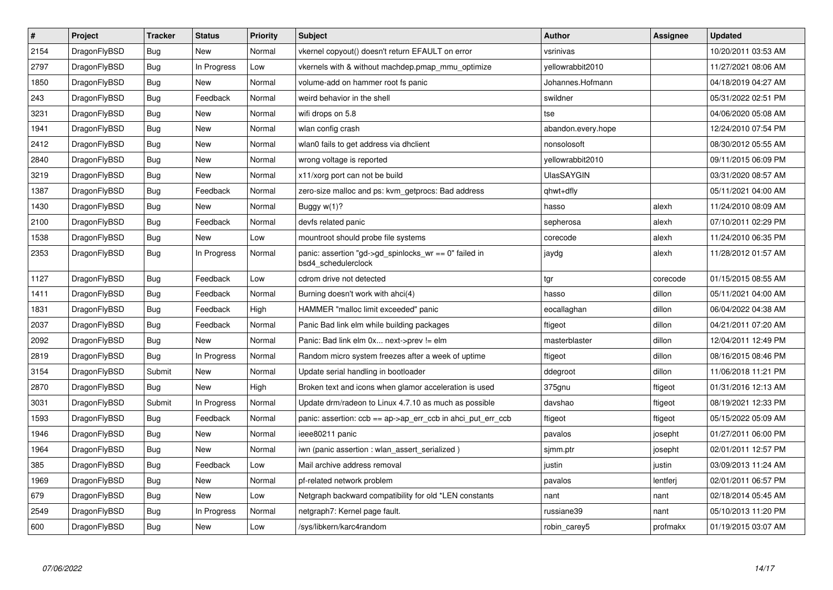| $\sharp$ | Project      | <b>Tracker</b> | <b>Status</b> | <b>Priority</b> | <b>Subject</b>                                                                  | <b>Author</b>      | <b>Assignee</b> | <b>Updated</b>      |
|----------|--------------|----------------|---------------|-----------------|---------------------------------------------------------------------------------|--------------------|-----------------|---------------------|
| 2154     | DragonFlyBSD | Bug            | <b>New</b>    | Normal          | vkernel copyout() doesn't return EFAULT on error                                | vsrinivas          |                 | 10/20/2011 03:53 AM |
| 2797     | DragonFlyBSD | <b>Bug</b>     | In Progress   | Low             | vkernels with & without machdep.pmap_mmu_optimize                               | yellowrabbit2010   |                 | 11/27/2021 08:06 AM |
| 1850     | DragonFlyBSD | <b>Bug</b>     | New           | Normal          | volume-add on hammer root fs panic                                              | Johannes.Hofmann   |                 | 04/18/2019 04:27 AM |
| 243      | DragonFlyBSD | <b>Bug</b>     | Feedback      | Normal          | weird behavior in the shell                                                     | swildner           |                 | 05/31/2022 02:51 PM |
| 3231     | DragonFlyBSD | Bug            | <b>New</b>    | Normal          | wifi drops on 5.8                                                               | tse                |                 | 04/06/2020 05:08 AM |
| 1941     | DragonFlyBSD | <b>Bug</b>     | New           | Normal          | wlan config crash                                                               | abandon.every.hope |                 | 12/24/2010 07:54 PM |
| 2412     | DragonFlyBSD | Bug            | <b>New</b>    | Normal          | wlan0 fails to get address via dhclient                                         | nonsolosoft        |                 | 08/30/2012 05:55 AM |
| 2840     | DragonFlyBSD | <b>Bug</b>     | <b>New</b>    | Normal          | wrong voltage is reported                                                       | yellowrabbit2010   |                 | 09/11/2015 06:09 PM |
| 3219     | DragonFlyBSD | Bug            | <b>New</b>    | Normal          | x11/xorg port can not be build                                                  | <b>UlasSAYGIN</b>  |                 | 03/31/2020 08:57 AM |
| 1387     | DragonFlyBSD | <b>Bug</b>     | Feedback      | Normal          | zero-size malloc and ps: kvm_getprocs: Bad address                              | qhwt+dfly          |                 | 05/11/2021 04:00 AM |
| 1430     | DragonFlyBSD | <b>Bug</b>     | <b>New</b>    | Normal          | Buggy $w(1)$ ?                                                                  | hasso              | alexh           | 11/24/2010 08:09 AM |
| 2100     | DragonFlyBSD | Bug            | Feedback      | Normal          | devfs related panic                                                             | sepherosa          | alexh           | 07/10/2011 02:29 PM |
| 1538     | DragonFlyBSD | Bug            | New           | Low             | mountroot should probe file systems                                             | corecode           | alexh           | 11/24/2010 06:35 PM |
| 2353     | DragonFlyBSD | <b>Bug</b>     | In Progress   | Normal          | panic: assertion "gd->gd spinlocks $wr == 0$ " failed in<br>bsd4 schedulerclock | jaydg              | alexh           | 11/28/2012 01:57 AM |
| 1127     | DragonFlyBSD | Bug            | Feedback      | Low             | cdrom drive not detected                                                        | tgr                | corecode        | 01/15/2015 08:55 AM |
| 1411     | DragonFlyBSD | Bug            | Feedback      | Normal          | Burning doesn't work with ahci(4)                                               | hasso              | dillon          | 05/11/2021 04:00 AM |
| 1831     | DragonFlyBSD | Bug            | Feedback      | High            | HAMMER "malloc limit exceeded" panic                                            | eocallaghan        | dillon          | 06/04/2022 04:38 AM |
| 2037     | DragonFlyBSD | Bug            | Feedback      | Normal          | Panic Bad link elm while building packages                                      | ftigeot            | dillon          | 04/21/2011 07:20 AM |
| 2092     | DragonFlyBSD | Bug            | <b>New</b>    | Normal          | Panic: Bad link elm 0x next->prev != elm                                        | masterblaster      | dillon          | 12/04/2011 12:49 PM |
| 2819     | DragonFlyBSD | <b>Bug</b>     | In Progress   | Normal          | Random micro system freezes after a week of uptime                              | ftigeot            | dillon          | 08/16/2015 08:46 PM |
| 3154     | DragonFlyBSD | Submit         | New           | Normal          | Update serial handling in bootloader                                            | ddegroot           | dillon          | 11/06/2018 11:21 PM |
| 2870     | DragonFlyBSD | Bug            | New           | High            | Broken text and icons when glamor acceleration is used                          | 375gnu             | ftigeot         | 01/31/2016 12:13 AM |
| 3031     | DragonFlyBSD | Submit         | In Progress   | Normal          | Update drm/radeon to Linux 4.7.10 as much as possible                           | davshao            | ftigeot         | 08/19/2021 12:33 PM |
| 1593     | DragonFlyBSD | <b>Bug</b>     | Feedback      | Normal          | panic: assertion: $ccb == ap \rightarrow ap\_err\_ccb$ in ahci_put_err_ccb      | ftigeot            | ftigeot         | 05/15/2022 05:09 AM |
| 1946     | DragonFlyBSD | Bug            | <b>New</b>    | Normal          | ieee80211 panic                                                                 | pavalos            | josepht         | 01/27/2011 06:00 PM |
| 1964     | DragonFlyBSD | Bug            | New           | Normal          | iwn (panic assertion : wlan assert serialized)                                  | simm.ptr           | josepht         | 02/01/2011 12:57 PM |
| 385      | DragonFlyBSD | <b>Bug</b>     | Feedback      | Low             | Mail archive address removal                                                    | justin             | justin          | 03/09/2013 11:24 AM |
| 1969     | DragonFlyBSD | Bug            | <b>New</b>    | Normal          | pf-related network problem                                                      | pavalos            | lentferj        | 02/01/2011 06:57 PM |
| 679      | DragonFlyBSD | Bug            | New           | Low             | Netgraph backward compatibility for old *LEN constants                          | nant               | nant            | 02/18/2014 05:45 AM |
| 2549     | DragonFlyBSD | Bug            | In Progress   | Normal          | netgraph7: Kernel page fault.                                                   | russiane39         | nant            | 05/10/2013 11:20 PM |
| 600      | DragonFlyBSD | <b>Bug</b>     | <b>New</b>    | Low             | /sys/libkern/karc4random                                                        | robin_carey5       | profmakx        | 01/19/2015 03:07 AM |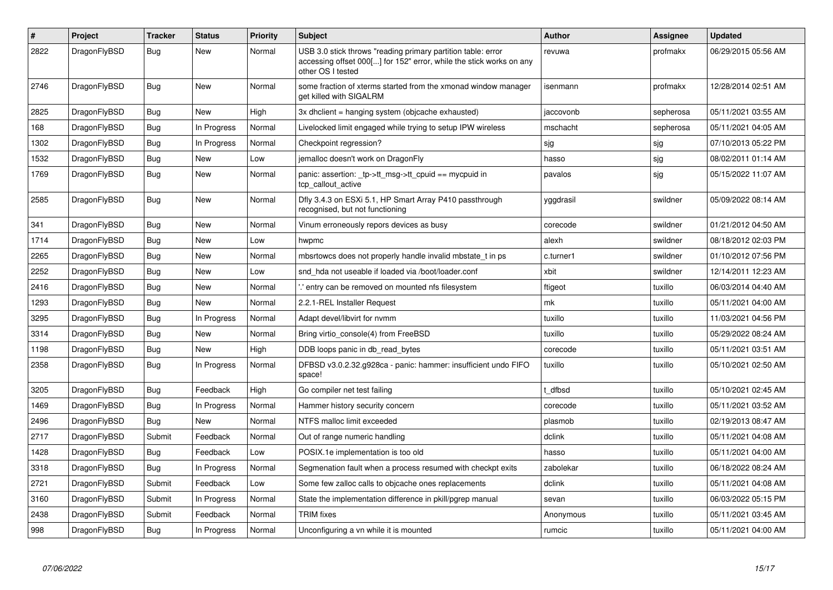| $\#$ | <b>Project</b> | <b>Tracker</b> | <b>Status</b> | <b>Priority</b> | <b>Subject</b>                                                                                                                                           | <b>Author</b> | Assignee  | <b>Updated</b>      |
|------|----------------|----------------|---------------|-----------------|----------------------------------------------------------------------------------------------------------------------------------------------------------|---------------|-----------|---------------------|
| 2822 | DragonFlyBSD   | Bug            | <b>New</b>    | Normal          | USB 3.0 stick throws "reading primary partition table: error<br>accessing offset 000[] for 152" error, while the stick works on any<br>other OS I tested | revuwa        | profmakx  | 06/29/2015 05:56 AM |
| 2746 | DragonFlyBSD   | <b>Bug</b>     | New           | Normal          | some fraction of xterms started from the xmonad window manager<br>get killed with SIGALRM                                                                | isenmann      | profmakx  | 12/28/2014 02:51 AM |
| 2825 | DragonFlyBSD   | <b>Bug</b>     | New           | High            | 3x dhclient = hanging system (objcache exhausted)                                                                                                        | jaccovonb     | sepherosa | 05/11/2021 03:55 AM |
| 168  | DragonFlyBSD   | Bug            | In Progress   | Normal          | Livelocked limit engaged while trying to setup IPW wireless                                                                                              | mschacht      | sepherosa | 05/11/2021 04:05 AM |
| 1302 | DragonFlyBSD   | <b>Bug</b>     | In Progress   | Normal          | Checkpoint regression?                                                                                                                                   | sjg           | sjg       | 07/10/2013 05:22 PM |
| 1532 | DragonFlyBSD   | Bug            | New           | Low             | jemalloc doesn't work on DragonFly                                                                                                                       | hasso         | sjg       | 08/02/2011 01:14 AM |
| 1769 | DragonFlyBSD   | <b>Bug</b>     | <b>New</b>    | Normal          | panic: assertion: _tp->tt_msg->tt_cpuid == mycpuid in<br>tcp callout active                                                                              | pavalos       | sjg       | 05/15/2022 11:07 AM |
| 2585 | DragonFlyBSD   | Bug            | <b>New</b>    | Normal          | Dfly 3.4.3 on ESXi 5.1, HP Smart Array P410 passthrough<br>recognised, but not functioning                                                               | yggdrasil     | swildner  | 05/09/2022 08:14 AM |
| 341  | DragonFlyBSD   | Bug            | New           | Normal          | Vinum erroneously repors devices as busy                                                                                                                 | corecode      | swildner  | 01/21/2012 04:50 AM |
| 1714 | DragonFlyBSD   | Bug            | New           | Low             | hwpmc                                                                                                                                                    | alexh         | swildner  | 08/18/2012 02:03 PM |
| 2265 | DragonFlyBSD   | Bug            | New           | Normal          | mbsrtowcs does not properly handle invalid mbstate t in ps                                                                                               | c.turner1     | swildner  | 01/10/2012 07:56 PM |
| 2252 | DragonFlyBSD   | <b>Bug</b>     | <b>New</b>    | Low             | snd hda not useable if loaded via /boot/loader.conf                                                                                                      | xbit          | swildner  | 12/14/2011 12:23 AM |
| 2416 | DragonFlyBSD   | Bug            | <b>New</b>    | Normal          | entry can be removed on mounted nfs filesystem                                                                                                           | ftigeot       | tuxillo   | 06/03/2014 04:40 AM |
| 1293 | DragonFlyBSD   | <b>Bug</b>     | <b>New</b>    | Normal          | 2.2.1-REL Installer Request                                                                                                                              | mk            | tuxillo   | 05/11/2021 04:00 AM |
| 3295 | DragonFlyBSD   | <b>Bug</b>     | In Progress   | Normal          | Adapt devel/libvirt for nymm                                                                                                                             | tuxillo       | tuxillo   | 11/03/2021 04:56 PM |
| 3314 | DragonFlyBSD   | Bug            | <b>New</b>    | Normal          | Bring virtio_console(4) from FreeBSD                                                                                                                     | tuxillo       | tuxillo   | 05/29/2022 08:24 AM |
| 1198 | DragonFlyBSD   | Bug            | <b>New</b>    | High            | DDB loops panic in db_read_bytes                                                                                                                         | corecode      | tuxillo   | 05/11/2021 03:51 AM |
| 2358 | DragonFlyBSD   | Bug            | In Progress   | Normal          | DFBSD v3.0.2.32.g928ca - panic: hammer: insufficient undo FIFO<br>space!                                                                                 | tuxillo       | tuxillo   | 05/10/2021 02:50 AM |
| 3205 | DragonFlyBSD   | Bug            | Feedback      | High            | Go compiler net test failing                                                                                                                             | : dfbsd       | tuxillo   | 05/10/2021 02:45 AM |
| 1469 | DragonFlyBSD   | Bug            | In Progress   | Normal          | Hammer history security concern                                                                                                                          | corecode      | tuxillo   | 05/11/2021 03:52 AM |
| 2496 | DragonFlyBSD   | <b>Bug</b>     | New           | Normal          | NTFS malloc limit exceeded                                                                                                                               | plasmob       | tuxillo   | 02/19/2013 08:47 AM |
| 2717 | DragonFlyBSD   | Submit         | Feedback      | Normal          | Out of range numeric handling                                                                                                                            | dclink        | tuxillo   | 05/11/2021 04:08 AM |
| 1428 | DragonFlyBSD   | <b>Bug</b>     | Feedback      | Low             | POSIX.1e implementation is too old                                                                                                                       | hasso         | tuxillo   | 05/11/2021 04:00 AM |
| 3318 | DragonFlyBSD   | Bug            | In Progress   | Normal          | Segmenation fault when a process resumed with checkpt exits                                                                                              | zabolekar     | tuxillo   | 06/18/2022 08:24 AM |
| 2721 | DragonFlyBSD   | Submit         | Feedback      | Low             | Some few zalloc calls to objcache ones replacements                                                                                                      | dclink        | tuxillo   | 05/11/2021 04:08 AM |
| 3160 | DragonFlyBSD   | Submit         | In Progress   | Normal          | State the implementation difference in pkill/pgrep manual                                                                                                | sevan         | tuxillo   | 06/03/2022 05:15 PM |
| 2438 | DragonFlyBSD   | Submit         | Feedback      | Normal          | <b>TRIM</b> fixes                                                                                                                                        | Anonymous     | tuxillo   | 05/11/2021 03:45 AM |
| 998  | DragonFlyBSD   | Bug            | In Progress   | Normal          | Unconfiguring a vn while it is mounted                                                                                                                   | rumcic        | tuxillo   | 05/11/2021 04:00 AM |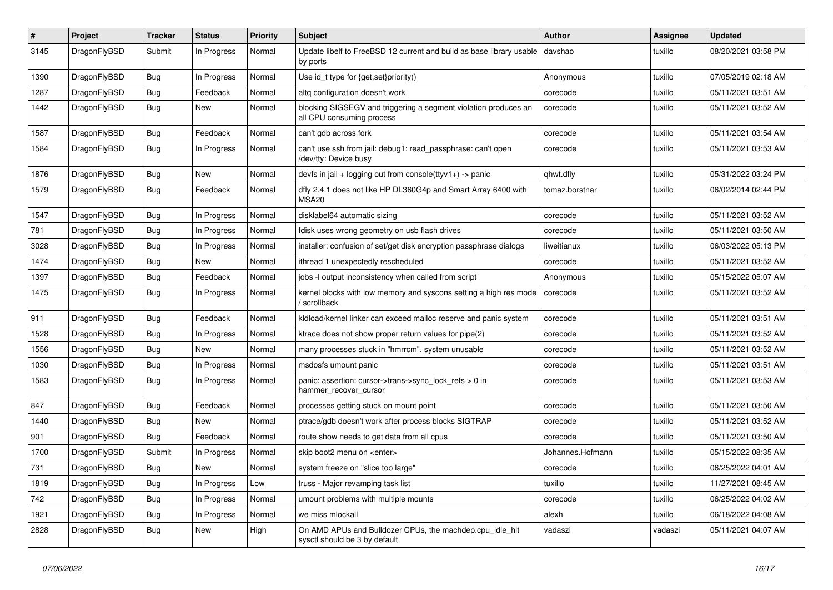| #    | Project      | <b>Tracker</b> | <b>Status</b> | <b>Priority</b> | <b>Subject</b>                                                                               | <b>Author</b>    | Assignee | <b>Updated</b>      |
|------|--------------|----------------|---------------|-----------------|----------------------------------------------------------------------------------------------|------------------|----------|---------------------|
| 3145 | DragonFlyBSD | Submit         | In Progress   | Normal          | Update libelf to FreeBSD 12 current and build as base library usable<br>by ports             | davshao          | tuxillo  | 08/20/2021 03:58 PM |
| 1390 | DragonFlyBSD | Bug            | In Progress   | Normal          | Use id_t type for {get,set}priority()                                                        | Anonymous        | tuxillo  | 07/05/2019 02:18 AM |
| 1287 | DragonFlyBSD | <b>Bug</b>     | Feedback      | Normal          | altg configuration doesn't work                                                              | corecode         | tuxillo  | 05/11/2021 03:51 AM |
| 1442 | DragonFlyBSD | Bug            | New           | Normal          | blocking SIGSEGV and triggering a segment violation produces an<br>all CPU consuming process | corecode         | tuxillo  | 05/11/2021 03:52 AM |
| 1587 | DragonFlyBSD | Bug            | Feedback      | Normal          | can't gdb across fork                                                                        | corecode         | tuxillo  | 05/11/2021 03:54 AM |
| 1584 | DragonFlyBSD | Bug            | In Progress   | Normal          | can't use ssh from jail: debug1: read_passphrase: can't open<br>/dev/tty: Device busy        | corecode         | tuxillo  | 05/11/2021 03:53 AM |
| 1876 | DragonFlyBSD | Bug            | New           | Normal          | devfs in jail + logging out from console(ttyv1+) -> panic                                    | qhwt.dfly        | tuxillo  | 05/31/2022 03:24 PM |
| 1579 | DragonFlyBSD | <b>Bug</b>     | Feedback      | Normal          | dfly 2.4.1 does not like HP DL360G4p and Smart Array 6400 with<br>MSA <sub>20</sub>          | tomaz.borstnar   | tuxillo  | 06/02/2014 02:44 PM |
| 1547 | DragonFlyBSD | Bug            | In Progress   | Normal          | disklabel64 automatic sizing                                                                 | corecode         | tuxillo  | 05/11/2021 03:52 AM |
| 781  | DragonFlyBSD | <b>Bug</b>     | In Progress   | Normal          | fdisk uses wrong geometry on usb flash drives                                                | corecode         | tuxillo  | 05/11/2021 03:50 AM |
| 3028 | DragonFlyBSD | <b>Bug</b>     | In Progress   | Normal          | installer: confusion of set/get disk encryption passphrase dialogs                           | liweitianux      | tuxillo  | 06/03/2022 05:13 PM |
| 1474 | DragonFlyBSD | <b>Bug</b>     | New           | Normal          | ithread 1 unexpectedly rescheduled                                                           | corecode         | tuxillo  | 05/11/2021 03:52 AM |
| 1397 | DragonFlyBSD | <b>Bug</b>     | Feedback      | Normal          | jobs -I output inconsistency when called from script                                         | Anonymous        | tuxillo  | 05/15/2022 05:07 AM |
| 1475 | DragonFlyBSD | <b>Bug</b>     | In Progress   | Normal          | kernel blocks with low memory and syscons setting a high res mode<br>/ scrollback            | corecode         | tuxillo  | 05/11/2021 03:52 AM |
| 911  | DragonFlyBSD | <b>Bug</b>     | Feedback      | Normal          | kidload/kernel linker can exceed malloc reserve and panic system                             | corecode         | tuxillo  | 05/11/2021 03:51 AM |
| 1528 | DragonFlyBSD | <b>Bug</b>     | In Progress   | Normal          | ktrace does not show proper return values for pipe(2)                                        | corecode         | tuxillo  | 05/11/2021 03:52 AM |
| 1556 | DragonFlyBSD | <b>Bug</b>     | New           | Normal          | many processes stuck in "hmrrcm", system unusable                                            | corecode         | tuxillo  | 05/11/2021 03:52 AM |
| 1030 | DragonFlyBSD | <b>Bug</b>     | In Progress   | Normal          | msdosfs umount panic                                                                         | corecode         | tuxillo  | 05/11/2021 03:51 AM |
| 1583 | DragonFlyBSD | <b>Bug</b>     | In Progress   | Normal          | panic: assertion: cursor->trans->sync_lock_refs > 0 in<br>hammer_recover_cursor              | corecode         | tuxillo  | 05/11/2021 03:53 AM |
| 847  | DragonFlyBSD | Bug            | Feedback      | Normal          | processes getting stuck on mount point                                                       | corecode         | tuxillo  | 05/11/2021 03:50 AM |
| 1440 | DragonFlyBSD | <b>Bug</b>     | New           | Normal          | ptrace/gdb doesn't work after process blocks SIGTRAP                                         | corecode         | tuxillo  | 05/11/2021 03:52 AM |
| 901  | DragonFlyBSD | <b>Bug</b>     | Feedback      | Normal          | route show needs to get data from all cpus                                                   | corecode         | tuxillo  | 05/11/2021 03:50 AM |
| 1700 | DragonFlyBSD | Submit         | In Progress   | Normal          | skip boot2 menu on <enter></enter>                                                           | Johannes.Hofmann | tuxillo  | 05/15/2022 08:35 AM |
| 731  | DragonFlyBSD | Bug            | New           | Normal          | system freeze on "slice too large"                                                           | corecode         | tuxillo  | 06/25/2022 04:01 AM |
| 1819 | DragonFlyBSD | <b>Bug</b>     | In Progress   | Low             | truss - Major revamping task list                                                            | tuxillo          | tuxillo  | 11/27/2021 08:45 AM |
| 742  | DragonFlyBSD | <b>Bug</b>     | In Progress   | Normal          | umount problems with multiple mounts                                                         | corecode         | tuxillo  | 06/25/2022 04:02 AM |
| 1921 | DragonFlyBSD | <b>Bug</b>     | In Progress   | Normal          | we miss mlockall                                                                             | alexh            | tuxillo  | 06/18/2022 04:08 AM |
| 2828 | DragonFlyBSD | <b>Bug</b>     | New           | High            | On AMD APUs and Bulldozer CPUs, the machdep.cpu_idle_hlt<br>sysctl should be 3 by default    | vadaszi          | vadaszi  | 05/11/2021 04:07 AM |